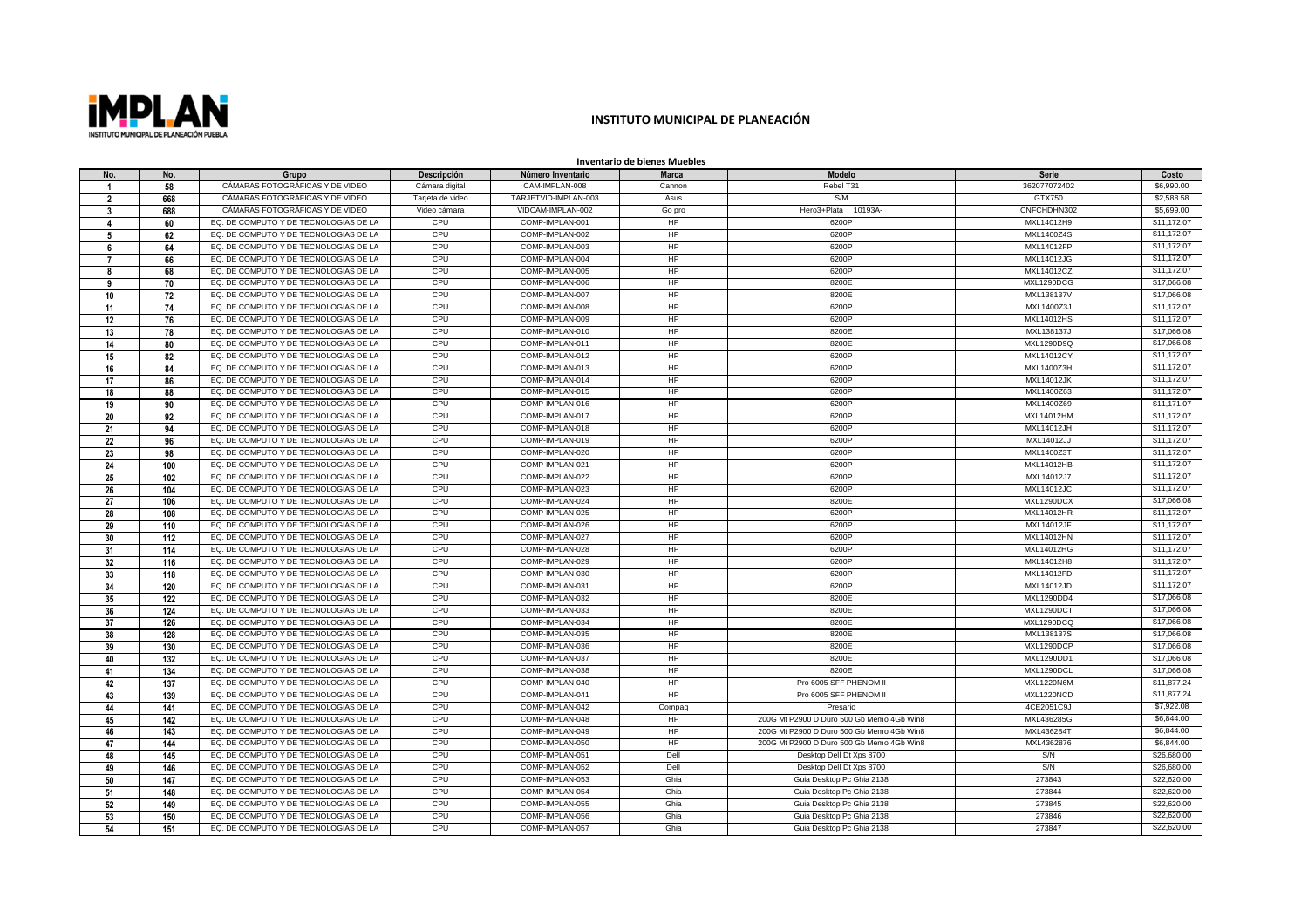

## **INSTITUTO MUNICIPAL DE PLANEACIÓN**

**Inventario de bienes Muebles**

| No.                      | No.             | Grupo                                 | Descripción      | Número Inventario    | <b>Marca</b> | Modelo                                    | Serie             | Costo       |
|--------------------------|-----------------|---------------------------------------|------------------|----------------------|--------------|-------------------------------------------|-------------------|-------------|
|                          | 58              | CÁMARAS FOTOGRÁFICAS Y DE VIDEO       | Cámara digital   | CAM-IMPLAN-008       | Cannon       | Rebel T31                                 | 362077072402      | \$6,990.00  |
| $\overline{\phantom{a}}$ | 668             | CÁMARAS FOTOGRÁFICAS Y DE VIDEO       | Tarjeta de video | TARJETVID-IMPLAN-003 | Asus         | S/M                                       | GTX750            | \$2,588.58  |
| -3                       | 688             | CÁMARAS FOTOGRÁFICAS Y DE VIDEO       | Video cámara     | VIDCAM-IMPLAN-002    | Go pro       | Hero3+Plata 10193A-                       | CNFCHDHN302       | \$5,699.00  |
| 4                        | 60              | EQ. DE COMPUTO Y DE TECNOLOGIAS DE LA | CPU              | COMP-IMPLAN-001      | <b>HP</b>    | 6200P                                     | MXL14012H9        | \$11,172.07 |
| 5                        | 62              | EQ. DE COMPUTO Y DE TECNOLOGIAS DE LA | CPU              | COMP-IMPLAN-002      | HP           | 6200P                                     | MXL1400Z4S        | \$11,172.07 |
| 6                        | 64              | EQ. DE COMPUTO Y DE TECNOLOGIAS DE LA | CPU              | COMP-IMPLAN-003      | <b>HP</b>    | 6200P                                     | MXL14012FP        | \$11,172.07 |
| -7                       | 66              | EQ. DE COMPUTO Y DE TECNOLOGIAS DE LA | CPU              | COMP-IMPLAN-004      | HP           | 6200P                                     | <b>MXL14012JG</b> | \$11,172,07 |
| R                        | 68              | EQ. DE COMPUTO Y DE TECNOLOGIAS DE LA | CPU              | COMP-IMPLAN-005      | HP           | 6200P                                     | MXL14012CZ        | \$11,172.07 |
| 9                        | 70              | EQ. DE COMPUTO Y DE TECNOLOGIAS DE LA | CPU              | COMP-IMPLAN-006      | HP           | 8200E                                     | MXL1290DCG        | \$17,066.08 |
| 10                       | $\overline{72}$ | EQ. DE COMPUTO Y DE TECNOLOGIAS DE LA | CPU              | COMP-IMPLAN-007      | HP           | 8200E                                     | MXL138137V        | \$17,066,08 |
| 11                       | 74              | EQ. DE COMPUTO Y DE TECNOLOGIAS DE LA | CPU              | COMP-IMPLAN-008      | <b>HP</b>    | 6200P                                     | MXL1400Z3J        | \$11,172.07 |
| 12                       | 76              | EQ. DE COMPUTO Y DE TECNOLOGIAS DE LA | CPU              | COMP-IMPLAN-009      | HP           | 6200P                                     | MXL14012HS        | \$11,172.07 |
| 13                       | 78              | EQ. DE COMPUTO Y DE TECNOLOGIAS DE LA | CPU              | COMP-IMPLAN-010      | HP           | 8200E                                     | MXL138137J        | \$17,066.08 |
| 14                       | 80              | EQ. DE COMPUTO Y DE TECNOLOGIAS DE LA | CPU              | COMP-IMPLAN-011      | HP           | 8200E                                     | MXL1290D9Q        | \$17,066.08 |
| 15                       | 82              | EQ. DE COMPUTO Y DE TECNOLOGIAS DE LA | CPU              | COMP-IMPLAN-012      | HP           | 6200P                                     | MXL14012CY        | \$11,172.07 |
| 16                       | 84              | EQ. DE COMPUTO Y DE TECNOLOGIAS DE LA | CPU              | COMP-IMPLAN-013      | <b>HP</b>    | 6200P                                     | MXL1400Z3H        | \$11,172.07 |
| 17                       | 86              | EQ. DE COMPUTO Y DE TECNOLOGIAS DE LA | CPU              | COMP-IMPLAN-014      | HP           | 6200P                                     | <b>MXL14012JK</b> | \$11,172,07 |
| 18                       | 88              | EQ. DE COMPUTO Y DE TECNOLOGIAS DE LA | CPU              | COMP-IMPLAN-015      | HP           | 6200P                                     | MXL1400Z63        | \$11,172.07 |
| 19                       | 90              | EQ. DE COMPUTO Y DE TECNOLOGIAS DE LA | CPU              | COMP-IMPLAN-016      | HP           | 6200P                                     | MXL1400Z69        | \$11,171.07 |
| 20                       | 92              | EQ. DE COMPUTO Y DE TECNOLOGIAS DE LA | CPU              | COMP-IMPLAN-017      | HP           | 6200P                                     | MXL14012HM        | \$11,172.07 |
| 21                       | 94              | EQ. DE COMPUTO Y DE TECNOLOGIAS DE LA | CPU              | COMP-IMPLAN-018      | <b>HP</b>    | 6200P                                     | MXL14012JH        | \$11,172,07 |
| 22                       | 96              | EQ. DE COMPUTO Y DE TECNOLOGIAS DE LA | CPU              | COMP-IMPLAN-019      | <b>HP</b>    | 6200P                                     | MXL14012JJ        | \$11,172,07 |
| 23                       | 98              | EQ. DE COMPUTO Y DE TECNOLOGIAS DE LA | CPU              | COMP-IMPLAN-020      | HP           | 6200P                                     | MXL1400Z3T        | \$11,172,07 |
| 24                       | 100             | EQ. DE COMPUTO Y DE TECNOLOGIAS DE LA | CPU              | COMP-IMPLAN-021      | HP           | 6200P                                     | <b>MXL14012HB</b> | \$11,172.07 |
| 25                       | 102             | EQ. DE COMPUTO Y DE TECNOLOGIAS DE LA | CPU              | COMP-IMPLAN-022      | HP           | 6200P                                     | MXL14012J7        | \$11,172.07 |
| 26                       | 104             | EQ. DE COMPUTO Y DE TECNOLOGIAS DE LA | CPU              | COMP-IMPLAN-023      | <b>HP</b>    | 6200P                                     | MXL14012JC        | \$11,172.07 |
| 27                       | 106             | EQ. DE COMPUTO Y DE TECNOLOGIAS DE LA | CPU              | COMP-IMPLAN-024      | <b>HP</b>    | 8200E                                     | MXL1290DCX        | \$17,066.08 |
| 28                       | 108             | EQ. DE COMPUTO Y DE TECNOLOGIAS DE LA | CPU              | COMP-IMPLAN-025      | HP           | 6200P                                     | <b>MXL14012HR</b> | \$11,172,07 |
| 29                       | 110             | EQ. DE COMPUTO Y DE TECNOLOGIAS DE LA | CPU              | COMP-IMPLAN-026      | HP           | 6200P                                     | MXL14012JF        | \$11,172.07 |
| 30                       | 112             | EQ. DE COMPUTO Y DE TECNOLOGIAS DE LA | CPU              | COMP-IMPLAN-027      | HP           | 6200P                                     | MXL14012HN        | \$11,172.07 |
| 31                       | 114             | EQ. DE COMPUTO Y DE TECNOLOGIAS DE LA | CPU              | COMP-IMPLAN-028      | HP           | 6200P                                     | MXL14012HG        | \$11,172.07 |
| 32                       | 116             | EQ. DE COMPUTO Y DE TECNOLOGIAS DE LA | CPU              | COMP-IMPLAN-029      | HP           | 6200P                                     | MXL14012H8        | \$11,172.07 |
| 33                       | 118             | EQ. DE COMPUTO Y DE TECNOLOGIAS DE LA | CPU              | COMP-IMPLAN-030      | HP           | 6200P                                     | MXL14012FD        | \$11,172.07 |
| 34                       | 120             | EQ. DE COMPUTO Y DE TECNOLOGIAS DE LA | CPU              | COMP-IMPLAN-031      | <b>HP</b>    | 6200P                                     | MXL14012JD        | \$11,172.07 |
| 35                       | 122             | EQ. DE COMPUTO Y DE TECNOLOGIAS DE LA | CPU              | COMP-IMPLAN-032      | <b>HP</b>    | 8200E                                     | MXL1290DD4        | \$17,066.08 |
| 36                       | 124             | EQ. DE COMPUTO Y DE TECNOLOGIAS DE LA | CPU              | COMP-IMPLAN-033      | <b>HP</b>    | 8200E                                     | MXL1290DCT        | \$17,066.08 |
| 37                       | 126             | EQ. DE COMPUTO Y DE TECNOLOGIAS DE LA | CPU              | COMP-IMPLAN-034      | HP           | 8200E                                     | MXL1290DCQ        | \$17,066.08 |
| 38                       | 128             | EQ. DE COMPUTO Y DE TECNOLOGIAS DE LA | CPU              | COMP-IMPLAN-035      | HP           | 8200E                                     | MXL138137S        | \$17,066.08 |
| 39                       | 130             | EQ. DE COMPUTO Y DE TECNOLOGIAS DE LA | CPU              | COMP-IMPLAN-036      | HP           | 8200E                                     | MXL1290DCP        | \$17,066.08 |
| 40                       | 132             | EQ. DE COMPUTO Y DE TECNOLOGIAS DE LA | CPU              | COMP-IMPLAN-037      | HP           | 8200E                                     | MXL1290DD1        | \$17,066.08 |
| 41                       | 134             | EQ. DE COMPUTO Y DE TECNOLOGIAS DE LA | CPU              | COMP-IMPLAN-038      | <b>HP</b>    | 8200E                                     | MXL1290DCL        | \$17,066,08 |
| 42                       | 137             | EQ. DE COMPUTO Y DE TECNOLOGIAS DE LA | CPU              | COMP-IMPLAN-040      | <b>HP</b>    | Pro 6005 SFF PHENOM II                    | <b>MXL1220N6M</b> | \$11,877.24 |
| 43                       | 139             | EQ. DE COMPUTO Y DE TECNOLOGIAS DE LA | CPU              | COMP-IMPLAN-041      | HP           | Pro 6005 SFF PHENOM II                    | MXL1220NCD        | \$11,877,24 |
| 44                       | 141             | EQ. DE COMPUTO Y DE TECNOLOGIAS DE LA | CPU              | COMP-IMPLAN-042      | Compaq       | Presario                                  | 4CE2051C9J        | \$7,922.08  |
| 45                       | 142             | EQ. DE COMPUTO Y DE TECNOLOGIAS DE LA | CPU              | COMP-IMPLAN-048      | <b>HP</b>    | 200G Mt P2900 D Duro 500 Gb Memo 4Gb Win8 | MXL436285G        | \$6,844.00  |
| 46                       | 143             | EQ. DE COMPUTO Y DE TECNOLOGIAS DE LA | CPU              | COMP-IMPLAN-049      | <b>HP</b>    | 200G Mt P2900 D Duro 500 Gb Memo 4Gb Win8 | MXL436284T        | \$6,844.00  |
| 47                       | 144             | EQ. DE COMPUTO Y DE TECNOLOGIAS DE LA | CPU              | COMP-IMPLAN-050      | <b>HP</b>    | 200G Mt P2900 D Duro 500 Gb Memo 4Gb Win8 | MXL4362876        | \$6,844.00  |
| 48                       | 145             | EQ. DE COMPUTO Y DE TECNOLOGIAS DE LA | CPU              | COMP-IMPLAN-051      | Dell         | Desktop Dell Dt Xps 8700                  | S/N               | \$26,680.00 |
| 49                       | 146             | EQ. DE COMPUTO Y DE TECNOLOGIAS DE LA | CPU              | COMP-IMPLAN-052      | Dell         | Desktop Dell Dt Xps 8700                  | S/N               | \$26,680,00 |
| 50                       | 147             | EQ. DE COMPUTO Y DE TECNOLOGIAS DE LA | CPU              | COMP-IMPLAN-053      | Ghia         | Guia Desktop Pc Ghia 2138                 | 273843            | \$22,620.00 |
| 51                       | 148             | EQ. DE COMPUTO Y DE TECNOLOGIAS DE LA | CPU              | COMP-IMPLAN-054      | Ghia         | Guia Desktop Pc Ghia 2138                 | 273844            | \$22,620.00 |
| 52                       | 149             | EQ. DE COMPUTO Y DE TECNOLOGIAS DE LA | CPU              | COMP-IMPLAN-055      | Ghia         | Guia Desktop Pc Ghia 2138                 | 273845            | \$22,620.00 |
| 53                       | 150             | EQ. DE COMPUTO Y DE TECNOLOGIAS DE LA | CPU              | COMP-IMPLAN-056      | Ghia         | Guia Desktop Pc Ghia 2138                 | 273846            | \$22,620,00 |
| 54                       | 151             | EQ. DE COMPUTO Y DE TECNOLOGIAS DE LA | CPU              | COMP-IMPLAN-057      | Ghia         | Guia Desktop Pc Ghia 2138                 | 273847            | \$22,620.00 |
|                          |                 |                                       |                  |                      |              |                                           |                   |             |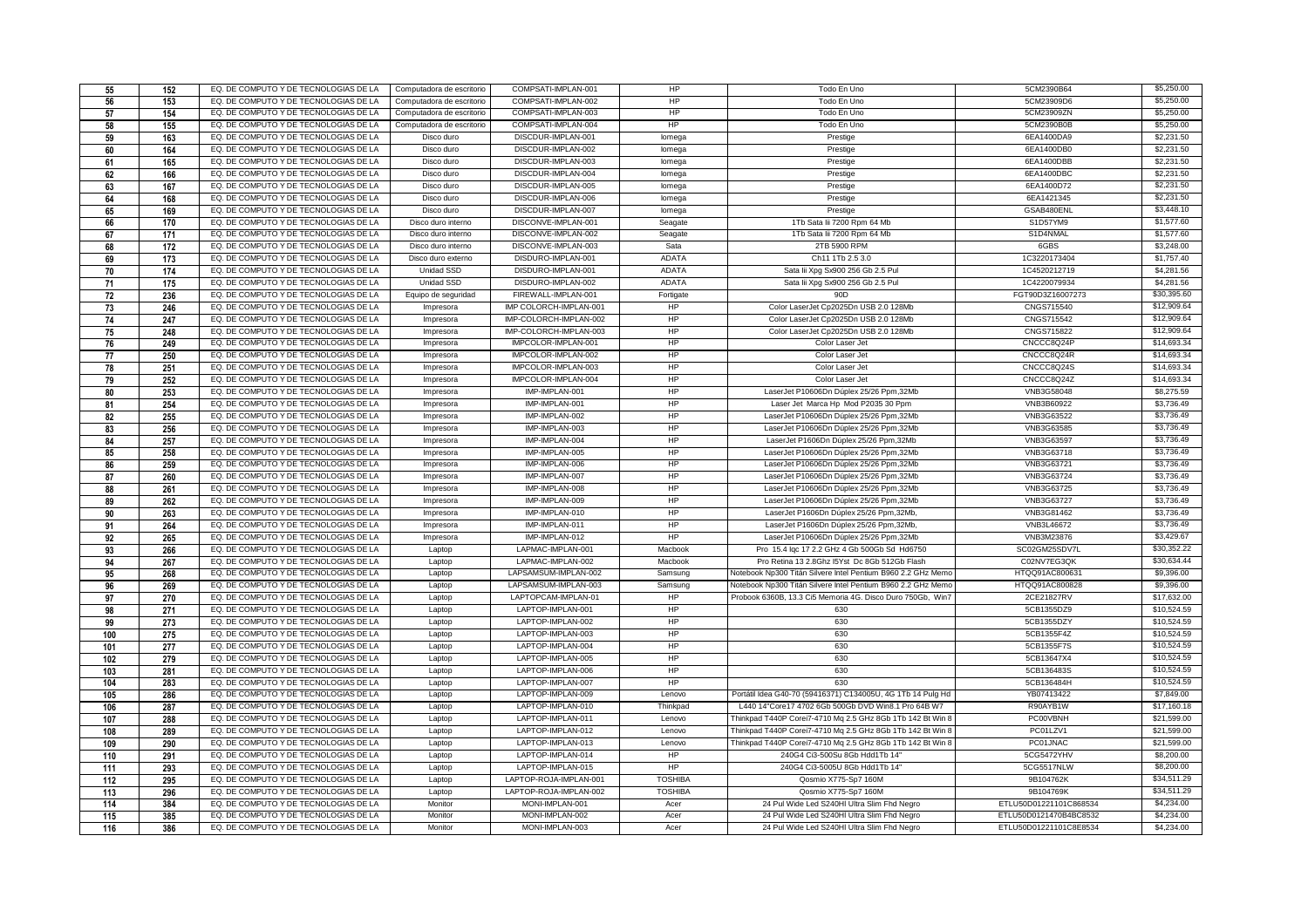| 55         | 152        | EQ. DE COMPUTO Y DE TECNOLOGIAS DE LA                                          | Computadora de escritorio | COMPSATI-IMPLAN-001                | HP             | Todo En Uno                                                                                | 5CM2390B64                                       | \$5,250.00               |
|------------|------------|--------------------------------------------------------------------------------|---------------------------|------------------------------------|----------------|--------------------------------------------------------------------------------------------|--------------------------------------------------|--------------------------|
| 56         | 153        | EQ. DE COMPUTO Y DE TECNOLOGIAS DE LA                                          | Computadora de escritorio | COMPSATI-IMPLAN-002                | HP             | Todo En Uno                                                                                | 5CM23909D6                                       | \$5,250.00               |
| 57         | 154        | EQ. DE COMPUTO Y DE TECNOLOGIAS DE LA                                          | Computadora de escritorio | COMPSATI-IMPLAN-003                | HP             | Todo En Uno                                                                                | 5CM23909ZN                                       | \$5,250.00               |
| 58         | 155        | EQ. DE COMPUTO Y DE TECNOLOGIAS DE LA                                          | Computadora de escritorio | COMPSATI-IMPLAN-004                | HP             | Todo En Uno                                                                                | 5CM2390B0B                                       | \$5,250.00               |
| 59         | 163        | EQ. DE COMPUTO Y DE TECNOLOGIAS DE LA                                          | Disco duro                | DISCDUR-IMPLAN-001                 | lomega         | Prestige                                                                                   | 6EA1400DA9                                       | \$2,231.50               |
| 60         | 164        | EQ. DE COMPUTO Y DE TECNOLOGIAS DE LA                                          | Disco duro                | DISCDUR-IMPLAN-002                 | lomega         | Prestige                                                                                   | 6EA1400DB0                                       | \$2,231.50               |
| 61         | 165        | EQ. DE COMPUTO Y DE TECNOLOGIAS DE LA                                          | Disco duro                | DISCDUR-IMPLAN-003                 | lomega         | Prestige                                                                                   | 6EA1400DBB                                       | \$2,231.50               |
| 62         | 166        | EQ. DE COMPUTO Y DE TECNOLOGIAS DE LA                                          | Disco duro                | DISCDUR-IMPLAN-004                 | lomega         | Prestige                                                                                   | 6EA1400DBC                                       | \$2,231.50               |
| 63         | 167        | EQ. DE COMPUTO Y DE TECNOLOGIAS DE LA                                          | Disco duro                | DISCDUR-IMPLAN-005                 | lomega         | Prestige                                                                                   | 6EA1400D72                                       | \$2,231.50               |
| 64         | 168        | EQ. DE COMPUTO Y DE TECNOLOGIAS DE LA                                          | Disco duro                | DISCDUR-IMPLAN-006                 | lomega         | Prestige                                                                                   | 6EA1421345                                       | \$2,231.50               |
| 65         | 169        | EQ. DE COMPUTO Y DE TECNOLOGIAS DE LA                                          | Disco duro                | DISCDUR-IMPLAN-007                 | lomega         | Prestige                                                                                   | GSAB480ENL                                       | \$3,448.10               |
| 66         | 170        | EQ. DE COMPUTO Y DE TECNOLOGIAS DE LA                                          | Disco duro interno        | DISCONVE-IMPLAN-001                | Seagate        | 1Tb Sata lii 7200 Rpm 64 Mb                                                                | S1D57YM9                                         | \$1,577.60               |
| 67         | 171        | EQ. DE COMPUTO Y DE TECNOLOGIAS DE LA                                          | Disco duro interno        | DISCONVE-IMPLAN-002                | Seagate        | 1Tb Sata lii 7200 Rpm 64 Mb                                                                | S1D4NMAL                                         | \$1,577.60               |
| 68         | 172        | EQ. DE COMPUTO Y DE TECNOLOGIAS DE LA                                          | Disco duro interno        | DISCONVE-IMPLAN-003                | Sata           | 2TB 5900 RPM                                                                               | 6GBS                                             | \$3,248.00               |
| 69         | 173        | EQ. DE COMPUTO Y DE TECNOLOGIAS DE LA                                          | Disco duro externo        | DISDURO-IMPLAN-001                 | <b>ADATA</b>   | Ch11 1Tb 2.5 3.0                                                                           | 1C3220173404                                     | \$1,757.40               |
| 70         | 174        | EQ. DE COMPUTO Y DE TECNOLOGIAS DE LA                                          | Unidad SSD                | DISDURO-IMPLAN-001                 | <b>ADATA</b>   | Sata lii Xpg Sx900 256 Gb 2.5 Pul                                                          | 1C4520212719                                     | \$4,281.56               |
| 71         | 175        | EQ. DE COMPUTO Y DE TECNOLOGIAS DE LA                                          | Unidad SSD                | DISDURO-IMPLAN-002                 | ADATA          | Sata lii Xpg Sx900 256 Gb 2.5 Pul                                                          | 1C4220079934                                     | \$4,281.56               |
| 72         | 236        | EQ. DE COMPUTO Y DE TECNOLOGIAS DE LA                                          | Equipo de seguridad       | FIREWALL-IMPLAN-001                | Fortigate      | 90D                                                                                        | FGT90D3Z16007273                                 | \$30,395.60              |
| 73         | 246        | EQ. DE COMPUTO Y DE TECNOLOGIAS DE LA                                          | Impresora                 | IMP COLORCH-IMPLAN-001             | HP             | Color LaserJet Cp2025Dn USB 2.0 128Mb                                                      | CNGS715540                                       | \$12,909.64              |
| 74         | 247        | EQ. DE COMPUTO Y DE TECNOLOGIAS DE LA                                          | Impresora                 | IMP-COLORCH-IMPLAN-002             | HP             | Color LaserJet Cp2025Dn USB 2.0 128Mb                                                      | CNGS715542                                       | \$12,909.64              |
| 75         | 248        | EQ. DE COMPUTO Y DE TECNOLOGIAS DE LA                                          | Impresora                 | IMP-COLORCH-IMPLAN-003             | HP             | Color LaserJet Cp2025Dn USB 2.0 128Mb                                                      | CNGS715822                                       | \$12,909.64              |
| 76         | 249        | EQ. DE COMPUTO Y DE TECNOLOGIAS DE LA                                          | Impresora                 | IMPCOLOR-IMPLAN-001                | HP             | Color Laser Je                                                                             | CNCCC8Q24P                                       | \$14,693.34              |
| 77         | 250        | EQ. DE COMPUTO Y DE TECNOLOGIAS DE LA                                          | Impresora                 | IMPCOLOR-IMPLAN-002                | HP             | Color Laser Jet                                                                            | CNCCC8Q24R                                       | \$14,693.34              |
| 78         | 251        | EQ. DE COMPUTO Y DE TECNOLOGIAS DE LA                                          | Impresora                 | IMPCOLOR-IMPLAN-003                | HP             | Color Laser Jet                                                                            | CNCCC8Q24S                                       | \$14,693.34              |
| 79         | 252        | EQ. DE COMPUTO Y DE TECNOLOGIAS DE LA                                          | Impresora                 | IMPCOLOR-IMPLAN-004                | HP             | Color Laser Jet                                                                            | CNCCC8Q24Z                                       | \$14,693.34              |
| 80         | 253        | EQ. DE COMPUTO Y DE TECNOLOGIAS DE LA                                          | Impresora                 | IMP-IMPLAN-001                     | HP             | LaserJet P10606Dn Dúplex 25/26 Ppm,32Mb                                                    | VNB3G58048                                       | \$8,275.59               |
| 81         | 254        | EQ. DE COMPUTO Y DE TECNOLOGIAS DE LA                                          | Impresora                 | IMP-IMPLAN-001                     | HP             | Laser Jet Marca Hp Mod P2035 30 Ppm                                                        | VNB3B60922                                       | \$3,736.49               |
| 82         | 255        | EQ. DE COMPUTO Y DE TECNOLOGIAS DE LA                                          | Impresora                 | IMP-IMPLAN-002                     | HP             | LaserJet P10606Dn Dúplex 25/26 Ppm,32Mb                                                    | VNB3G63522                                       | \$3,736.49               |
| 83         | 256        | EQ. DE COMPUTO Y DE TECNOLOGIAS DE LA                                          | Impresora                 | IMP-IMPLAN-003                     | HP             | LaserJet P10606Dn Dúplex 25/26 Ppm,32Mb                                                    | VNB3G63585                                       | \$3,736.49               |
| 84         | 257        | EQ. DE COMPUTO Y DE TECNOLOGIAS DE LA                                          | Impresora                 | IMP-IMPLAN-004                     | HP             | LaserJet P1606Dn Dúplex 25/26 Ppm,32Mb                                                     | VNB3G63597                                       | \$3,736.49               |
| 85         | 258        | EQ. DE COMPUTO Y DE TECNOLOGIAS DE LA                                          | Impresora                 | IMP-IMPLAN-005                     | HP             | LaserJet P10606Dn Dúplex 25/26 Ppm,32Mb                                                    | VNB3G63718                                       | \$3,736.49               |
| 86         | 259        | EQ. DE COMPUTO Y DE TECNOLOGIAS DE LA                                          | Impresora                 | IMP-IMPLAN-006                     | HP             | LaserJet P10606Dn Dúplex 25/26 Ppm,32Mb                                                    | VNB3G63721                                       | \$3,736.49               |
| 87         | 260        | EQ. DE COMPUTO Y DE TECNOLOGIAS DE LA                                          | Impresora                 | IMP-IMPLAN-007                     | HP             | LaserJet P10606Dn Dúplex 25/26 Ppm,32Mb                                                    | VNB3G63724                                       | \$3,736.49               |
| 88         | 261        | EQ. DE COMPUTO Y DE TECNOLOGIAS DE LA                                          | Impresora                 | IMP-IMPLAN-008                     | HP             | LaserJet P10606Dn Dúplex 25/26 Ppm,32Mb                                                    | VNB3G63725                                       | \$3,736.49               |
| 89         | 262        | EQ. DE COMPUTO Y DE TECNOLOGIAS DE LA                                          | Impresora                 | IMP-IMPLAN-009                     | HP             | LaserJet P10606Dn Dúplex 25/26 Ppm,32Mb                                                    | VNB3G63727                                       | \$3,736.49               |
| 90         | 263        | EQ. DE COMPUTO Y DE TECNOLOGIAS DE LA                                          | Impresora                 | IMP-IMPLAN-010                     | HP             | LaserJet P1606Dn Dúplex 25/26 Ppm,32Mb,                                                    | VNB3G81462                                       | \$3,736.49               |
| 91         | 264        | EQ. DE COMPUTO Y DE TECNOLOGIAS DE LA                                          | Impresora                 | IMP-IMPLAN-011                     | HP             | LaserJet P1606Dn Dúplex 25/26 Ppm,32Mb,                                                    | VNB3L46672                                       | \$3,736.49               |
| 92         | 265        | EQ. DE COMPUTO Y DE TECNOLOGIAS DE LA                                          | Impresora                 | IMP-IMPLAN-012                     | HP             | LaserJet P10606Dn Dúplex 25/26 Ppm,32Mb                                                    | VNB3M23876                                       | \$3,429.67               |
| 93         | 266        | EQ. DE COMPUTO Y DE TECNOLOGIAS DE LA                                          | Laptop                    | LAPMAC-IMPLAN-001                  | Macbook        | Pro 15.4 Igc 17 2.2 GHz 4 Gb 500Gb Sd Hd6750                                               | SC02GM25SDV7L                                    | \$30,352.22              |
| 94         | 267        | EQ. DE COMPUTO Y DE TECNOLOGIAS DE LA                                          | Laptop                    | LAPMAC-IMPLAN-002                  | Macbook        | Pro Retina 13 2.8Ghz I5Yst Dc 8Gb 512Gb Flash                                              | C02NV7EG3QK                                      | \$30,634.44              |
| 95         | 268        | EQ. DE COMPUTO Y DE TECNOLOGIAS DE LA                                          | Laptop                    | LAPSAMSUM-IMPLAN-002               | Samsung        | Notebook Np300 Titán Silvere Intel Pentium B960 2.2 GHz Memo                               | HTQQ91AC800631                                   | \$9,396.00               |
| 96         | 269        | EQ. DE COMPUTO Y DE TECNOLOGIAS DE LA                                          | Laptop                    | LAPSAMSUM-IMPLAN-003               | Samsung        | Notebook Np300 Titán Silvere Intel Pentium B960 2.2 GHz Memo                               | HTQQ91AC800828                                   | \$9,396.00               |
| 97         | 270        | EQ. DE COMPUTO Y DE TECNOLOGIAS DE LA                                          | Laptop                    | LAPTOPCAM-IMPLAN-01                | HP             | Probook 6360B, 13.3 Ci5 Memoria 4G. Disco Duro 750Gb, Win7                                 | 2CE21827RV                                       | \$17,632.00              |
| 98         | 271        | EQ. DE COMPUTO Y DE TECNOLOGIAS DE LA                                          | Laptop                    | LAPTOP-IMPLAN-001                  | HP             | 630                                                                                        | 5CB1355DZ9                                       | \$10,524.59              |
| 99         | 273        | EQ. DE COMPUTO Y DE TECNOLOGIAS DE LA                                          | Laptop                    | LAPTOP-IMPLAN-002                  | HP             | 630                                                                                        | 5CB1355DZY                                       | \$10,524.59              |
| 100        | 275        | EQ. DE COMPUTO Y DE TECNOLOGIAS DE LA                                          | Laptop                    | LAPTOP-IMPLAN-003                  | HP             | 630                                                                                        | 5CB1355F4Z                                       | \$10,524.59              |
| 101        | 277        | EQ. DE COMPUTO Y DE TECNOLOGIAS DE LA                                          | Laptop                    | LAPTOP-IMPLAN-004                  | HP             | 630                                                                                        | 5CB1355F7S                                       | \$10,524.59              |
| 102        | 279        | EQ. DE COMPUTO Y DE TECNOLOGIAS DE LA                                          | Laptop                    | LAPTOP-IMPLAN-005                  | HP             | 630                                                                                        | 5CB13647X4                                       | \$10,524.59              |
| 103        | 281        | EQ. DE COMPUTO Y DE TECNOLOGIAS DE LA                                          | Laptop                    | LAPTOP-IMPLAN-006                  | HP             | 630                                                                                        | 5CB136483S                                       | \$10,524.59              |
| 104        | 283        | EQ. DE COMPUTO Y DE TECNOLOGIAS DE LA                                          | Laptop                    | LAPTOP-IMPLAN-007                  | HP             | 630                                                                                        | 5CB136484H                                       | \$10,524.59              |
| 105        | 286        | EQ. DE COMPUTO Y DE TECNOLOGIAS DE LA                                          | Laptop                    | LAPTOP-IMPLAN-009                  | Lenovo         | Portátil Idea G40-70 (59416371) C134005U, 4G 1Tb 14 Pulg Hd                                | YB07413422                                       | \$7,849.00               |
| 106        | 287        | EQ. DE COMPUTO Y DE TECNOLOGIAS DE LA                                          | Laptop                    | LAPTOP-IMPLAN-010                  | Thinkpad       | L440 14"Core17 4702 6Gb 500Gb DVD Win8.1 Pro 64B W7                                        | R90AYB1W                                         | \$17,160.18              |
| 107        | 288        | EQ. DE COMPUTO Y DE TECNOLOGIAS DE LA                                          | Laptop                    | LAPTOP-IMPLAN-011                  | Lenovo         | Thinkpad T440P Corei7-4710 Mq 2.5 GHz 8Gb 1Tb 142 Bt Win 8                                 | PC00VBNH                                         | \$21,599.00              |
| 108        | 289        | EQ. DE COMPUTO Y DE TECNOLOGIAS DE LA                                          | Laptop                    | LAPTOP-IMPLAN-012                  | Lenovo         | Thinkpad T440P Corei7-4710 Mg 2.5 GHz 8Gb 1Tb 142 Bt Win 8                                 | PC01LZV1                                         | \$21,599.00              |
| 109        | 290        | EQ. DE COMPUTO Y DE TECNOLOGIAS DE LA                                          | Laptop                    | LAPTOP-IMPLAN-013                  | Lenovo         | Thinkpad T440P Corei7-4710 Mq 2.5 GHz 8Gb 1Tb 142 Bt Win 8                                 | PC01JNAC                                         | \$21,599.00              |
| 110        | 291        | EQ. DE COMPUTO Y DE TECNOLOGIAS DE LA                                          | Laptop                    | LAPTOP-IMPLAN-014                  | HP             | 240G4 Ci3-500Su 8Gb Hdd1Tb 14'                                                             | 5CG5472YHV                                       | \$8,200.00               |
| 111        | 293        | EQ. DE COMPUTO Y DE TECNOLOGIAS DE LA                                          |                           | LAPTOP-IMPLAN-015                  | HP             | 240G4 Ci3-5005U 8Gb Hdd1Tb 14"                                                             | 5CG5517NLW                                       | \$8,200,00               |
| 112        | 295        | EQ. DE COMPUTO Y DE TECNOLOGIAS DE LA                                          | Laptop<br>Laptop          | LAPTOP-ROJA-IMPLAN-001             | <b>TOSHIBA</b> | Qosmio X775-Sp7 160M                                                                       | 9B104762K                                        | \$34,511.29              |
| 113        | 296        | EQ. DE COMPUTO Y DE TECNOLOGIAS DE LA                                          | Laptop                    | LAPTOP-ROJA-IMPLAN-002             | <b>TOSHIBA</b> | Qosmio X775-Sp7 160M                                                                       | 9B104769K                                        | \$34,511.29              |
|            | 384        | EQ. DE COMPUTO Y DE TECNOLOGIAS DE LA                                          | Monitor                   | MONI-IMPLAN-001                    | Acer           | 24 Pul Wide Led S240HI Ultra Slim Fhd Negro                                                | ETLU50D01221101C868534                           | \$4,234.00               |
| 114        |            |                                                                                |                           |                                    |                |                                                                                            |                                                  |                          |
|            |            |                                                                                |                           |                                    |                |                                                                                            |                                                  |                          |
| 115<br>116 | 385<br>386 | EQ. DE COMPUTO Y DE TECNOLOGIAS DE LA<br>EQ. DE COMPUTO Y DE TECNOLOGIAS DE LA | Monitor<br>Monitor        | MONI-IMPLAN-002<br>MONI-IMPLAN-003 | Acer<br>Acer   | 24 Pul Wide Led S240HI Ultra Slim Fhd Negro<br>24 Pul Wide Led S240HI Ultra Slim Fhd Negro | ETLU50D0121470B4BC8532<br>ETLU50D01221101C8E8534 | \$4,234.00<br>\$4,234.00 |

INFORM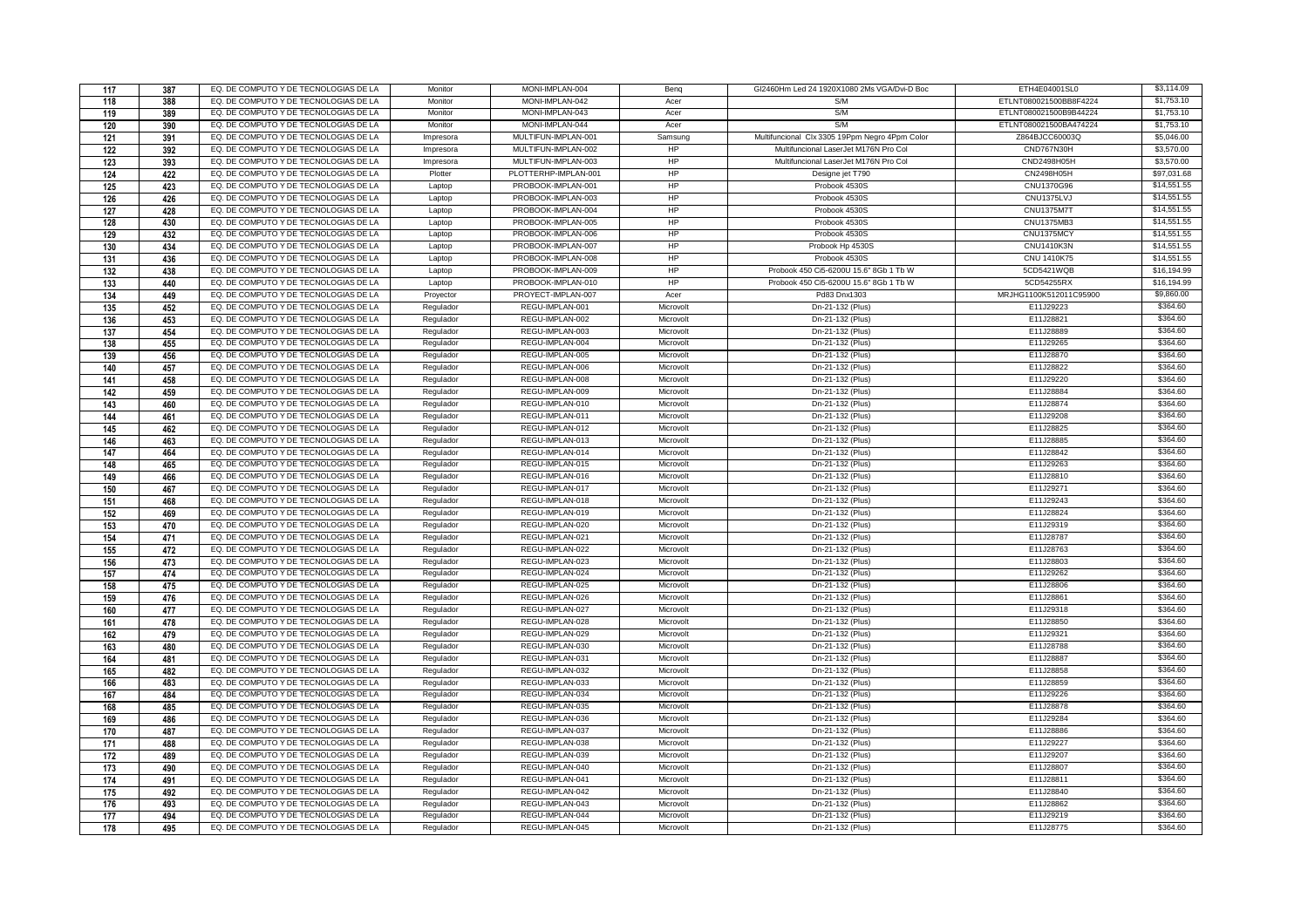| 117        | 387        | EQ. DE COMPUTO Y DE TECNOLOGIAS DE LA                                          | Monitor                | MONI-IMPLAN-004      | Benq                   | GI2460Hm Led 24 1920X1080 2Ms VGA/Dvi-D Boc    | ETH4E04001SL0          | \$3,114.09  |
|------------|------------|--------------------------------------------------------------------------------|------------------------|----------------------|------------------------|------------------------------------------------|------------------------|-------------|
| 118        | 388        | EQ. DE COMPUTO Y DE TECNOLOGIAS DE LA                                          | Monitor                | MONI-IMPLAN-042      | Acer                   | SM                                             | ETLNT080021500BB8F4224 | \$1,753.10  |
| 119        | 389        | EQ. DE COMPUTO Y DE TECNOLOGIAS DE LA                                          | Monitor                | MONI-IMPLAN-043      | Acer                   | S/M                                            | ETLNT080021500B9B44224 | \$1,753.10  |
| 120        | 390        | EQ. DE COMPUTO Y DE TECNOLOGIAS DE LA                                          | Monitor                | MONI-IMPLAN-044      | Acer                   | S/M                                            | ETLNT080021500BA474224 | \$1,753.10  |
| 121        | 391        | EQ. DE COMPUTO Y DE TECNOLOGIAS DE LA                                          | Impresora              | MULTIFUN-IMPLAN-001  | Samsung                | Multifuncional Clx 3305 19Ppm Negro 4Ppm Color | Z864BJCC60003Q         | \$5,046.00  |
| 122        | 392        | EQ. DE COMPUTO Y DE TECNOLOGIAS DE LA                                          | Impresora              | MULTIFUN-IMPLAN-002  | HP                     | Multifuncional LaserJet M176N Pro Col          | CND767N30H             | \$3,570.00  |
| 123        | 393        | EQ. DE COMPUTO Y DE TECNOLOGIAS DE LA                                          | Impresora              | MULTIFUN-IMPLAN-003  | HP                     | Multifuncional LaserJet M176N Pro Col          | CND2498H05H            | \$3,570.00  |
| 124        | 422        | EQ. DE COMPUTO Y DE TECNOLOGIAS DE LA                                          | Plotter                | PLOTTERHP-IMPLAN-001 | HP                     | Designe jet T790                               | CN2498H05H             | \$97,031.68 |
| 125        | 423        | EQ. DE COMPUTO Y DE TECNOLOGIAS DE LA                                          | Laptop                 | PROBOOK-IMPLAN-001   | HP                     | Probook 4530S                                  | CNU1370G96             | \$14,551.55 |
| 126        | 426        | EQ. DE COMPUTO Y DE TECNOLOGIAS DE LA                                          | Laptop                 | PROBOOK-IMPLAN-003   | <b>HP</b>              | Probook 4530S                                  | CNU1375LVJ             | \$14,551.55 |
| 127        | 428        | EQ. DE COMPUTO Y DE TECNOLOGIAS DE LA                                          | Laptop                 | PROBOOK-IMPLAN-004   | <b>HP</b>              | Probook 4530S                                  | <b>CNU1375M7T</b>      | \$14,551.55 |
| 128        | 430        | EQ. DE COMPUTO Y DE TECNOLOGIAS DE LA                                          | Laptop                 | PROBOOK-IMPLAN-005   | HP                     | Probook 4530S                                  | CNU1375MB3             | \$14,551.55 |
| 129        | 432        | EQ. DE COMPUTO Y DE TECNOLOGIAS DE LA                                          | Laptop                 | PROBOOK-IMPLAN-006   | HP                     | Probook 4530S                                  | CNU1375MCY             | \$14,551.55 |
| 130        | 434        | EQ. DE COMPUTO Y DE TECNOLOGIAS DE LA                                          | Laptop                 | PROBOOK-IMPLAN-007   | HP                     | Probook Hp 4530S                               | <b>CNU1410K3N</b>      | \$14,551.55 |
| 131        | 436        | EQ. DE COMPUTO Y DE TECNOLOGIAS DE LA                                          | Laptop                 | PROBOOK-IMPLAN-008   | HP                     | Probook 4530S                                  | CNU 1410K75            | \$14,551.55 |
| 132        | 438        | EQ. DE COMPUTO Y DE TECNOLOGIAS DE LA                                          | Laptop                 | PROBOOK-IMPLAN-009   | <b>HP</b>              | Probook 450 Ci5-6200U 15.6" 8Gb 1 Tb W         | 5CD5421WQB             | \$16,194.99 |
| 133        | 440        | EQ. DE COMPUTO Y DE TECNOLOGIAS DE LA                                          | Laptop                 | PROBOOK-IMPLAN-010   | HP                     | Probook 450 Ci5-6200U 15.6" 8Gb 1 Tb W         | 5CD54255RX             | \$16,194.99 |
| 134        | 449        | EQ. DE COMPUTO Y DE TECNOLOGIAS DE LA                                          | Proyector              | PROYECT-IMPLAN-007   | Acer                   | Pd83 Dnx1303                                   | MRJHG1100K512011C95900 | \$9,860.00  |
| 135        | 452        | EQ. DE COMPUTO Y DE TECNOLOGIAS DE LA                                          | Regulador              | REGU-IMPLAN-001      | Microvolt              | Dn-21-132 (Plus)                               | E11J29223              | \$364.60    |
| 136        | 453        | EQ. DE COMPUTO Y DE TECNOLOGIAS DE LA                                          | Regulador              | REGU-IMPLAN-002      | Microvolt              | Dn-21-132 (Plus)                               | E11J28821              | \$364.60    |
| 137        | 454        | EQ. DE COMPUTO Y DE TECNOLOGIAS DE LA                                          | Regulador              | REGU-IMPLAN-003      | Microvolt              | Dn-21-132 (Plus)                               | E11J28889              | \$364.60    |
| 138        | 455        | EQ. DE COMPUTO Y DE TECNOLOGIAS DE LA                                          | Regulador              | REGU-IMPLAN-004      | Microvolt              | Dn-21-132 (Plus)                               | E11J29265              | \$364.60    |
| 139        | 456        | EQ. DE COMPUTO Y DE TECNOLOGIAS DE LA                                          | Regulador              | REGU-IMPLAN-005      | Microvolt              | Dn-21-132 (Plus)                               | E11J28870              | \$364.60    |
| 140        | 457        | EQ. DE COMPUTO Y DE TECNOLOGIAS DE LA                                          | Regulador              | REGU-IMPLAN-006      | Microvolt              | Dn-21-132 (Plus)                               | E11J28822              | \$364.60    |
| 141        | 458        | EQ. DE COMPUTO Y DE TECNOLOGIAS DE LA                                          | Regulador              | REGU-IMPLAN-008      | Microvolt              | Dn-21-132 (Plus)                               | E11J29220              | \$364.60    |
| 142        | 459        | EQ. DE COMPUTO Y DE TECNOLOGIAS DE LA                                          | Regulador              | REGU-IMPLAN-009      | Microvolt              | Dn-21-132 (Plus)                               | E11J28884              | \$364.60    |
| 143        | 460        | EQ. DE COMPUTO Y DE TECNOLOGIAS DE LA                                          | Regulador              | REGU-IMPLAN-010      | Microvolt              | Dn-21-132 (Plus)                               | E11J28874              | \$364.60    |
| 144        | 461        | EQ. DE COMPUTO Y DE TECNOLOGIAS DE LA                                          | Regulador              | REGU-IMPLAN-011      | Microvolt              | Dn-21-132 (Plus)                               | E11J29208              | \$364.60    |
| 145        | 462        | EQ. DE COMPUTO Y DE TECNOLOGIAS DE LA                                          | Regulador              | REGU-IMPLAN-012      | Microvolt              | Dn-21-132 (Plus)                               | E11J28825              | \$364.60    |
| 146        | 463        | EQ. DE COMPUTO Y DE TECNOLOGIAS DE LA                                          | Regulador              | REGU-IMPLAN-013      | Microvolt              | Dn-21-132 (Plus)                               | E11J28885              | \$364.60    |
| 147        | 464        | EQ. DE COMPUTO Y DE TECNOLOGIAS DE LA                                          | Regulador              | REGU-IMPLAN-014      | Microvolt              | Dn-21-132 (Plus)                               | E11J28842              | \$364.60    |
| 148        | 465        | EQ. DE COMPUTO Y DE TECNOLOGIAS DE LA                                          | Regulador              | REGU-IMPLAN-015      | Microvolt              | Dn-21-132 (Plus)                               | E11J29263              | \$364.60    |
| 149        | 466        | EQ. DE COMPUTO Y DE TECNOLOGIAS DE LA                                          | Regulador              | REGU-IMPLAN-016      | Microvolt              | Dn-21-132 (Plus)                               | E11J28810              | \$364.60    |
| 150        | 467        | EQ. DE COMPUTO Y DE TECNOLOGIAS DE LA                                          | Regulador              | REGU-IMPLAN-017      | Microvolt              | Dn-21-132 (Plus)                               | E11J29271              | \$364.60    |
| 151        | 468        | EQ. DE COMPUTO Y DE TECNOLOGIAS DE LA                                          | Regulador              | REGU-IMPLAN-018      | Microvolt              | Dn-21-132 (Plus)                               | E11J29243              | \$364.60    |
| 152        | 469        | EQ. DE COMPUTO Y DE TECNOLOGIAS DE LA                                          | Regulador              | REGU-IMPLAN-019      | Microvolt              | Dn-21-132 (Plus)                               | E11J28824              | \$364.60    |
| 153        | 470        | EQ. DE COMPUTO Y DE TECNOLOGIAS DE LA                                          | Regulador              | REGU-IMPLAN-020      | Microvolt              | Dn-21-132 (Plus)                               | E11J29319              | \$364.60    |
| 154        | 471        | EQ. DE COMPUTO Y DE TECNOLOGIAS DE LA                                          | Regulador              | REGU-IMPLAN-021      | Microvolt              | Dn-21-132 (Plus)                               | E11J28787              | \$364.60    |
| 155        | 472        | EQ. DE COMPUTO Y DE TECNOLOGIAS DE LA                                          | Regulador              | REGU-IMPLAN-022      | Microvolt              | Dn-21-132 (Plus)                               | E11J28763              | \$364.60    |
| 156        | 473        | EQ. DE COMPUTO Y DE TECNOLOGIAS DE LA                                          | Regulador              | REGU-IMPLAN-023      | Microvolt              | Dn-21-132 (Plus)                               | E11J28803              | \$364.60    |
| 157        | 474        | EQ. DE COMPUTO Y DE TECNOLOGIAS DE LA                                          | Regulador              | REGU-IMPLAN-024      | Microvolt              | Dn-21-132 (Plus)                               | E11J29262              | \$364.60    |
| 158        | 475        | EQ. DE COMPUTO Y DE TECNOLOGIAS DE LA                                          | Regulador              | REGU-IMPLAN-025      | Microvolt              | Dn-21-132 (Plus)                               | E11J28806              | \$364.60    |
| 159        | 476        | EQ. DE COMPUTO Y DE TECNOLOGIAS DE LA                                          | Regulador              | REGU-IMPLAN-026      | Microvolt              | Dn-21-132 (Plus)                               | E11J28861              | \$364.60    |
| 160        | 477        | EQ. DE COMPUTO Y DE TECNOLOGIAS DE LA                                          | Regulador              | REGU-IMPLAN-027      | Microvolt              | Dn-21-132 (Plus)                               | E11J29318              | \$364.60    |
|            | 478        | EQ. DE COMPUTO Y DE TECNOLOGIAS DE LA                                          |                        | REGU-IMPLAN-028      |                        | Dn-21-132 (Plus)                               | E11J28850              | \$364.60    |
| 161<br>162 | 479        | EQ. DE COMPUTO Y DE TECNOLOGIAS DE LA                                          | Regulador<br>Regulador | REGU-IMPLAN-029      | Microvolt<br>Microvolt | Dn-21-132 (Plus)                               | E11J29321              | \$364.60    |
| 163        | 480        | EQ. DE COMPUTO Y DE TECNOLOGIAS DE LA                                          | Regulador              | REGU-IMPLAN-030      | Microvolt              | Dn-21-132 (Plus)                               | E11J28788              | \$364.60    |
|            | 481        | EQ. DE COMPUTO Y DE TECNOLOGIAS DE LA                                          | Regulador              | REGU-IMPLAN-031      | Microvolt              | Dn-21-132 (Plus)                               | E11J28887              | \$364.60    |
| 164<br>165 |            | EQ. DE COMPUTO Y DE TECNOLOGIAS DE LA                                          | Regulador              | REGU-IMPLAN-032      | Microvolt              | Dn-21-132 (Plus)                               | E11J28858              | \$364.60    |
|            | 482        | EQ. DE COMPUTO Y DE TECNOLOGIAS DE LA                                          |                        | REGU-IMPLAN-033      | Microvolt              | Dn-21-132 (Plus)                               | E11J28859              | \$364.60    |
| 166        | 483        | EQ. DE COMPUTO Y DE TECNOLOGIAS DE LA                                          | Regulador              | REGU-IMPLAN-034      |                        |                                                | E11J29226              | \$364.60    |
| 167<br>168 | 484<br>485 | EQ. DE COMPUTO Y DE TECNOLOGIAS DE LA                                          | Regulador<br>Regulador | REGU-IMPLAN-035      | Microvolt<br>Microvolt | Dn-21-132 (Plus)<br>Dn-21-132 (Plus)           | E11J28878              | \$364.60    |
|            |            | EQ. DE COMPUTO Y DE TECNOLOGIAS DE LA                                          | Regulador              | REGU-IMPLAN-036      | Microvolt              | Dn-21-132 (Plus)                               | E11J29284              | \$364.60    |
| 169        | 486        | EQ. DE COMPUTO Y DE TECNOLOGIAS DE LA                                          | Regulador              | REGU-IMPLAN-037      |                        | Dn-21-132 (Plus)                               | E11J28886              | \$364.60    |
| 170        | 487        | EQ. DE COMPUTO Y DE TECNOLOGIAS DE LA                                          |                        | REGU-IMPLAN-038      | Microvolt              |                                                | E11J29227              | \$364.60    |
| 171        | 488        |                                                                                | Regulador              |                      | Microvolt              | Dn-21-132 (Plus)                               |                        | \$364.60    |
| 172        | 489        | EQ. DE COMPUTO Y DE TECNOLOGIAS DE LA<br>EQ. DE COMPUTO Y DE TECNOLOGIAS DE LA | Regulador              | REGU-IMPLAN-039      | Microvolt              | Dn-21-132 (Plus)                               | E11J29207              | \$364.60    |
| 173        | 490        |                                                                                | Regulador              | REGU-IMPLAN-040      | Microvolt              | Dn-21-132 (Plus)                               | E11J28807              |             |
| 174        | 491        | EQ. DE COMPUTO Y DE TECNOLOGIAS DE LA                                          | Regulador              | REGU-IMPLAN-041      | Microvolt              | Dn-21-132 (Plus)                               | E11J28811              | \$364.60    |
| 175        | 492        | EQ. DE COMPUTO Y DE TECNOLOGIAS DE LA                                          | Regulador              | REGU-IMPLAN-042      | Microvolt              | Dn-21-132 (Plus)                               | E11J28840              | \$364.60    |
| 176        | 493        | EQ. DE COMPUTO Y DE TECNOLOGIAS DE LA                                          | Regulador              | REGU-IMPLAN-043      | Microvolt              | Dn-21-132 (Plus)                               | E11J28862              | \$364.60    |
| 177        | 494        | EQ. DE COMPUTO Y DE TECNOLOGIAS DE LA                                          | Regulador              | REGU-IMPLAN-044      | Microvolt              | Dn-21-132 (Plus)                               | E11J29219              | \$364.60    |
| 178        | 495        | EQ. DE COMPUTO Y DE TECNOLOGIAS DE LA                                          | Regulador              | REGU-IMPLAN-045      | Microvolt              | Dn-21-132 (Plus)                               | E11J28775              | \$364.60    |

INFORM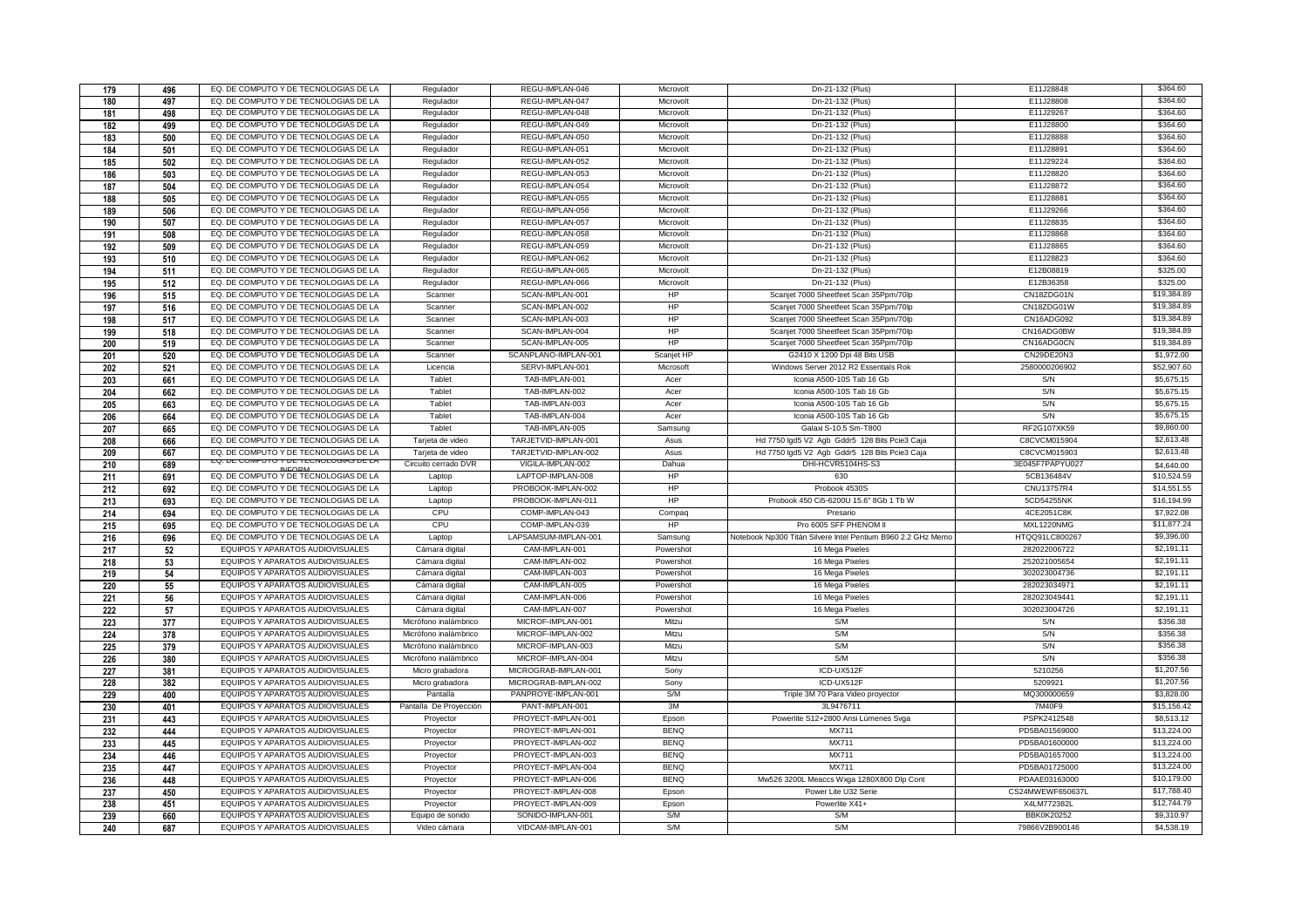| 179 | 496 | EQ. DE COMPUTO Y DE TECNOLOGIAS DE LA                                          | Regulador              | REGU-IMPLAN-046                  | Microvolt    | Dn-21-132 (Plus)                                             | E11J28848         | \$364.60    |
|-----|-----|--------------------------------------------------------------------------------|------------------------|----------------------------------|--------------|--------------------------------------------------------------|-------------------|-------------|
| 180 | 497 | EQ. DE COMPUTO Y DE TECNOLOGIAS DE LA                                          | Regulador              | REGU-IMPLAN-047                  | Microvolt    | Dn-21-132 (Plus)                                             | E11J28808         | \$364.60    |
| 181 | 498 | EQ. DE COMPUTO Y DE TECNOLOGIAS DE LA                                          | Regulador              | REGU-IMPLAN-048                  | Microvolt    | Dn-21-132 (Plus)                                             | E11J29267         | \$364.60    |
| 182 | 499 | EQ. DE COMPUTO Y DE TECNOLOGIAS DE LA                                          | Regulador              | REGU-IMPLAN-049                  | Microvolt    | Dn-21-132 (Plus)                                             | E11J28800         | \$364.60    |
| 183 | 500 | EQ. DE COMPUTO Y DE TECNOLOGIAS DE LA                                          | Regulador              | REGU-IMPLAN-050                  | Microvolt    | Dn-21-132 (Plus)                                             | E11J28888         | \$364.60    |
| 184 | 501 | EQ. DE COMPUTO Y DE TECNOLOGIAS DE LA                                          | Regulador              | REGU-IMPLAN-051                  | Microvolt    | Dn-21-132 (Plus)                                             | E11J28891         | \$364.60    |
| 185 | 502 | EQ. DE COMPUTO Y DE TECNOLOGIAS DE LA                                          | Regulador              | REGU-IMPLAN-052                  | Microvolt    | Dn-21-132 (Plus)                                             | E11J29224         | \$364.60    |
| 186 | 503 | EQ. DE COMPUTO Y DE TECNOLOGIAS DE LA                                          | Regulador              | REGU-IMPLAN-053                  | Microvolt    | Dn-21-132 (Plus)                                             | E11J28820         | \$364.60    |
| 187 | 504 | EQ. DE COMPUTO Y DE TECNOLOGIAS DE LA                                          | Regulador              | REGU-IMPLAN-054                  | Microvolt    | Dn-21-132 (Plus)                                             | E11J28872         | \$364.60    |
| 188 | 505 | EQ. DE COMPUTO Y DE TECNOLOGIAS DE LA                                          | Regulador              | REGU-IMPLAN-055                  | Microvolt    | Dn-21-132 (Plus)                                             | E11J28881         | \$364.60    |
| 189 | 506 | EQ. DE COMPUTO Y DE TECNOLOGIAS DE LA                                          | Regulador              | REGU-IMPLAN-056                  | Microvolt    | Dn-21-132 (Plus)                                             | E11J29266         | \$364.60    |
| 190 | 507 | EQ. DE COMPUTO Y DE TECNOLOGIAS DE LA                                          | Regulador              | REGU-IMPLAN-057                  | Microvolt    | Dn-21-132 (Plus)                                             | E11J28835         | \$364.60    |
| 191 | 508 | EQ. DE COMPUTO Y DE TECNOLOGIAS DE LA                                          | Regulador              | REGU-IMPLAN-058                  | Microvolt    | Dn-21-132 (Plus)                                             | E11J28868         | \$364.60    |
| 192 | 509 | EQ. DE COMPUTO Y DE TECNOLOGIAS DE LA                                          | Regulador              | REGU-IMPLAN-059                  | Microvolt    | Dn-21-132 (Plus)                                             | E11J28865         | \$364.60    |
| 193 | 510 | EQ. DE COMPUTO Y DE TECNOLOGIAS DE LA                                          | Regulador              | REGU-IMPLAN-062                  | Microvolt    | Dn-21-132 (Plus)                                             | E11J28823         | \$364.60    |
| 194 | 511 | EQ. DE COMPUTO Y DE TECNOLOGIAS DE LA                                          | Regulador              | REGU-IMPLAN-065                  | Microvolt    | Dn-21-132 (Plus)                                             | E12B08819         | \$325.00    |
| 195 | 512 | EQ. DE COMPUTO Y DE TECNOLOGIAS DE LA                                          | Regulador              | REGU-IMPLAN-066                  | Microvolt    | Dn-21-132 (Plus)                                             | E12B36358         | \$325.00    |
| 196 | 515 | EQ. DE COMPUTO Y DE TECNOLOGIAS DE LA                                          | Scanner                | SCAN-IMPLAN-001                  | HP           | Scanjet 7000 Sheetfeet Scan 35Ppm/70lp                       | CN18ZDG01N        | \$19,384.89 |
| 197 | 516 | EQ. DE COMPUTO Y DE TECNOLOGIAS DE LA                                          | Scanner                | SCAN-IMPLAN-002                  | HP           | Scanjet 7000 Sheetfeet Scan 35Ppm/70lp                       | CN18ZDG01W        | \$19,384.89 |
| 198 | 517 | EQ. DE COMPUTO Y DE TECNOLOGIAS DE LA                                          | Scanner                | SCAN-IMPLAN-003                  | HP           | Scanjet 7000 Sheetfeet Scan 35Ppm/70lp                       | CN16ADG092        | \$19,384.89 |
| 199 | 518 | EQ. DE COMPUTO Y DE TECNOLOGIAS DE LA                                          | Scanner                | SCAN-IMPLAN-004                  | HP           | Scanjet 7000 Sheetfeet Scan 35Ppm/70lp                       | CN16ADG0BW        | \$19,384.89 |
| 200 | 519 | EQ. DE COMPUTO Y DE TECNOLOGIAS DE LA                                          | Scanner                | SCAN-IMPLAN-005                  | HP           | Scanjet 7000 Sheetfeet Scan 35Ppm/70lp                       | CN16ADG0CN        | \$19,384.89 |
| 201 | 520 | EQ. DE COMPUTO Y DE TECNOLOGIAS DE LA                                          | Scanner                | SCANPLANO-IMPLAN-001             | Scanjet HP   | G2410 X 1200 Dpi 48 Bits USB                                 | CN29DE20N3        | \$1,972.00  |
|     |     | EQ. DE COMPUTO Y DE TECNOLOGIAS DE LA                                          | Licencia               | SERVI-IMPLAN-001                 | Microsoft    | Windows Server 2012 R2 Essentials Rok                        | 2580000206902     | \$52,907.60 |
| 202 | 521 | EQ. DE COMPUTO Y DE TECNOLOGIAS DE LA                                          | Tablet                 | TAB-IMPLAN-001                   | Acer         | Iconia A500-10S Tab 16 Gb                                    | S/N               | \$5,675.15  |
| 203 | 661 |                                                                                |                        |                                  |              |                                                              | S/N               | \$5,675.15  |
| 204 | 662 | EQ. DE COMPUTO Y DE TECNOLOGIAS DE LA<br>EQ. DE COMPUTO Y DE TECNOLOGIAS DE LA | Tablet                 | TAB-IMPLAN-002                   | Acer<br>Acer | Iconia A500-10S Tab 16 Gb                                    | S/N               | \$5,675.15  |
| 205 | 663 | EQ. DE COMPUTO Y DE TECNOLOGIAS DE LA                                          | Tablet<br>Tablet       | TAB-IMPLAN-003<br>TAB-IMPLAN-004 |              | Iconia A500-10S Tab 16 Gb                                    | S/N               | \$5,675.15  |
| 206 | 664 |                                                                                |                        |                                  | Acer         | Iconia A500-10S Tab 16 Gb                                    |                   |             |
| 207 | 665 | EQ. DE COMPUTO Y DE TECNOLOGIAS DE LA                                          | Tablet                 | TAB-IMPLAN-005                   | Samsung      | Galaxi S-10.5 Sm-T800                                        | RF2G107XK59       | \$9,860.00  |
| 208 | 666 | EQ. DE COMPUTO Y DE TECNOLOGIAS DE LA                                          | Tarjeta de video       | TARJETVID-IMPLAN-001             | Asus         | Hd 7750 Igd5 V2 Agb Gddr5 128 Bits Pcie3 Caja                | C8CVCM015904      | \$2,613.48  |
| 209 | 667 | EQ. DE COMPUTO Y DE TECNOLOGIAS DE LA<br>EU. DE COMPUTO Y DE TECNOLOGIAS DE LA | Tarjeta de video       | TARJETVID-IMPLAN-002             | Asus         | Hd 7750 lgd5 V2 Agb Gddr5 128 Bits Pcie3 Caja                | C8CVCM015903      | \$2,613.48  |
| 210 | 689 | <b>INIEODA</b>                                                                 | Circuito cerrado DVR   | VIGILA-IMPLAN-002                | Dahua        | DHI-HCVR5104HS-S3                                            | 3E045F7PAPYU027   | \$4,640.00  |
| 211 | 691 | EQ. DE COMPUTO Y DE TECNOLOGIAS DE LA                                          | Laptop                 | LAPTOP-IMPLAN-008                | HP           | 630                                                          | 5CB136484V        | \$10,524.59 |
| 212 | 692 | EQ. DE COMPUTO Y DE TECNOLOGIAS DE LA                                          | Laptop                 | PROBOOK-IMPLAN-002               | HP           | Probook 4530S                                                | <b>CNU13757R4</b> | \$14.551.55 |
| 213 | 693 | EQ. DE COMPUTO Y DE TECNOLOGIAS DE LA                                          | Laptop                 | PROBOOK-IMPLAN-011               | HP           | Probook 450 Ci5-6200U 15.6" 8Gb 1 Tb W                       | 5CD54255NK        | \$16,194.99 |
| 214 | 694 | EQ. DE COMPUTO Y DE TECNOLOGIAS DE LA                                          | CPU                    | COMP-IMPLAN-043                  | Compaq       | Presario                                                     | 4CE2051C8K        | \$7,922.08  |
| 215 | 695 | EQ. DE COMPUTO Y DE TECNOLOGIAS DE LA                                          | CPU                    | COMP-IMPLAN-039                  | HP           | Pro 6005 SFF PHENOM II                                       | MXL1220NMG        | \$11,877.24 |
| 216 | 696 | EQ. DE COMPUTO Y DE TECNOLOGIAS DE LA                                          | Laptop                 | LAPSAMSUM-IMPLAN-001             | Samsung      | Notebook Np300 Titán Silvere Intel Pentium B960 2.2 GHz Memo | HTQQ91LC800267    | \$9,396.00  |
| 217 | 52  | EQUIPOS Y APARATOS AUDIOVISUALES                                               | Cámara digital         | CAM-IMPLAN-001                   | Powershot    | 16 Mega Pixeles                                              | 282022006722      | \$2,191.11  |
| 218 | 53  | EQUIPOS Y APARATOS AUDIOVISUALES                                               | Cámara digital         | CAM-IMPLAN-002                   | Powershot    | 16 Mega Pixeles                                              | 252021005654      | \$2,191.11  |
| 219 | 54  | EQUIPOS Y APARATOS AUDIOVISUALES                                               | Cámara digital         | CAM-IMPLAN-003                   | Powershot    | 16 Mega Pixeles                                              | 302023004736      | \$2,191.11  |
| 220 | 55  | EQUIPOS Y APARATOS AUDIOVISUALES                                               | Cámara digital         | CAM-IMPLAN-005                   | Powershot    | 16 Mega Pixeles                                              | 282023034971      | \$2,191.11  |
| 221 | 56  | EQUIPOS Y APARATOS AUDIOVISUALES                                               | Cámara digital         | CAM-IMPLAN-006                   | Powershot    | 16 Mega Pixeles                                              | 282023049441      | \$2,191.11  |
| 222 | 57  | EQUIPOS Y APARATOS AUDIOVISUALES                                               | Cámara digital         | CAM-IMPLAN-007                   | Powershot    | 16 Mega Pixeles                                              | 302023004726      | \$2,191.11  |
| 223 | 377 | EQUIPOS Y APARATOS AUDIOVISUALES                                               | Micrófono inalámbrico  | MICROF-IMPLAN-001                | Mitzu        | S/M                                                          | S/N               | \$356.38    |
| 224 | 378 | EQUIPOS Y APARATOS AUDIOVISUALES                                               | Micrófono inalámbrico  | MICROF-IMPLAN-002                | Mitzu        | S/M                                                          | S/N               | \$356.38    |
| 225 | 379 | EQUIPOS Y APARATOS AUDIOVISUALES                                               | Micrófono inalámbrico  | MICROF-IMPLAN-003                | Mitzu        | S/M                                                          | S/N               | \$356.38    |
| 226 | 380 | EQUIPOS Y APARATOS AUDIOVISUALES                                               | Micrófono inalámbrico  | MICROF-IMPLAN-004                | Mitzu        | S/M                                                          | S/N               | \$356.38    |
| 227 | 381 | EQUIPOS Y APARATOS AUDIOVISUALES                                               | Micro grabadora        | MICROGRAB-IMPLAN-001             | Sony         | ICD-UX512F                                                   | 5210256           | \$1,207.56  |
| 228 | 382 | EQUIPOS Y APARATOS AUDIOVISUALES                                               | Micro grabadora        | MICROGRAB-IMPLAN-002             | Sony         | ICD-UX512F                                                   | 5209921           | \$1,207.56  |
| 229 | 400 | EQUIPOS Y APARATOS AUDIOVISUALES                                               | Pantalla               | PANPROYE-IMPLAN-001              | S/M          | Triple 3M 70 Para Video proyector                            | MQ300000659       | \$3,828,00  |
| 230 | 401 | EQUIPOS Y APARATOS AUDIOVISUALES                                               | Pantalla De Proyección | PANT-IMPLAN-001                  | 3M           | 3L9476711                                                    | 7M40F9            | \$15,156.42 |
| 231 | 443 | EQUIPOS Y APARATOS AUDIOVISUALES                                               | Proyector              | PROYECT-IMPLAN-001               | Epson        | Powerlite S12+2800 Ansi Lúmenes Svga                         | PSPK2412548       | \$8,513.12  |
| 232 | 444 | EQUIPOS Y APARATOS AUDIOVISUALES                                               | Proyector              | PROYECT-IMPLAN-001               | <b>BENQ</b>  | MX711                                                        | PD5BA01569000     | \$13,224.00 |
| 233 | 445 | EQUIPOS Y APARATOS AUDIOVISUALES                                               | Proyector              | PROYECT-IMPLAN-002               | <b>BENQ</b>  | MX711                                                        | PD5BA01600000     | \$13,224.00 |
| 234 | 446 | EQUIPOS Y APARATOS AUDIOVISUALES                                               | Proyector              | PROYECT-IMPLAN-003               | <b>BENQ</b>  | <b>MX711</b>                                                 | PD5BA01657000     | \$13,224.00 |
| 235 | 447 | EQUIPOS Y APARATOS AUDIOVISUALES                                               | Proyector              | PROYECT-IMPLAN-004               | <b>BENQ</b>  | MX711                                                        | PD5BA01725000     | \$13,224.00 |
| 236 | 448 | EQUIPOS Y APARATOS AUDIOVISUALES                                               | Proyector              | PROYECT-IMPLAN-006               | <b>BENQ</b>  | Mw526 3200L Meaccs Wxga 1280X800 Dlp Cont                    | PDAAE03163000     | \$10,179.00 |
| 237 | 450 | EQUIPOS Y APARATOS AUDIOVISUALES                                               | Proyector              | PROYECT-IMPLAN-008               | Epson        | Power Lite U32 Serie                                         | CS24MWEWF650637L  | \$17,788.40 |
| 238 | 451 | EQUIPOS Y APARATOS AUDIOVISUALES                                               | Proyector              | PROYECT-IMPLAN-009               | Epson        | Powerlite X41+                                               | X4LM772382L       | \$12,744.79 |
| 239 | 660 | EQUIPOS Y APARATOS AUDIOVISUALES                                               | Equipo de sonido       | SONIDO-IMPLAN-001                | S/M          | S/M                                                          | <b>BBK0K20252</b> | \$9,310.97  |
| 240 | 687 | EQUIPOS Y APARATOS AUDIOVISUALES                                               | Video cámara           | VIDCAM-IMPLAN-001                | S/M          | S/M                                                          | 79866V2B900146    | \$4,538.19  |
|     |     |                                                                                |                        |                                  |              |                                                              |                   |             |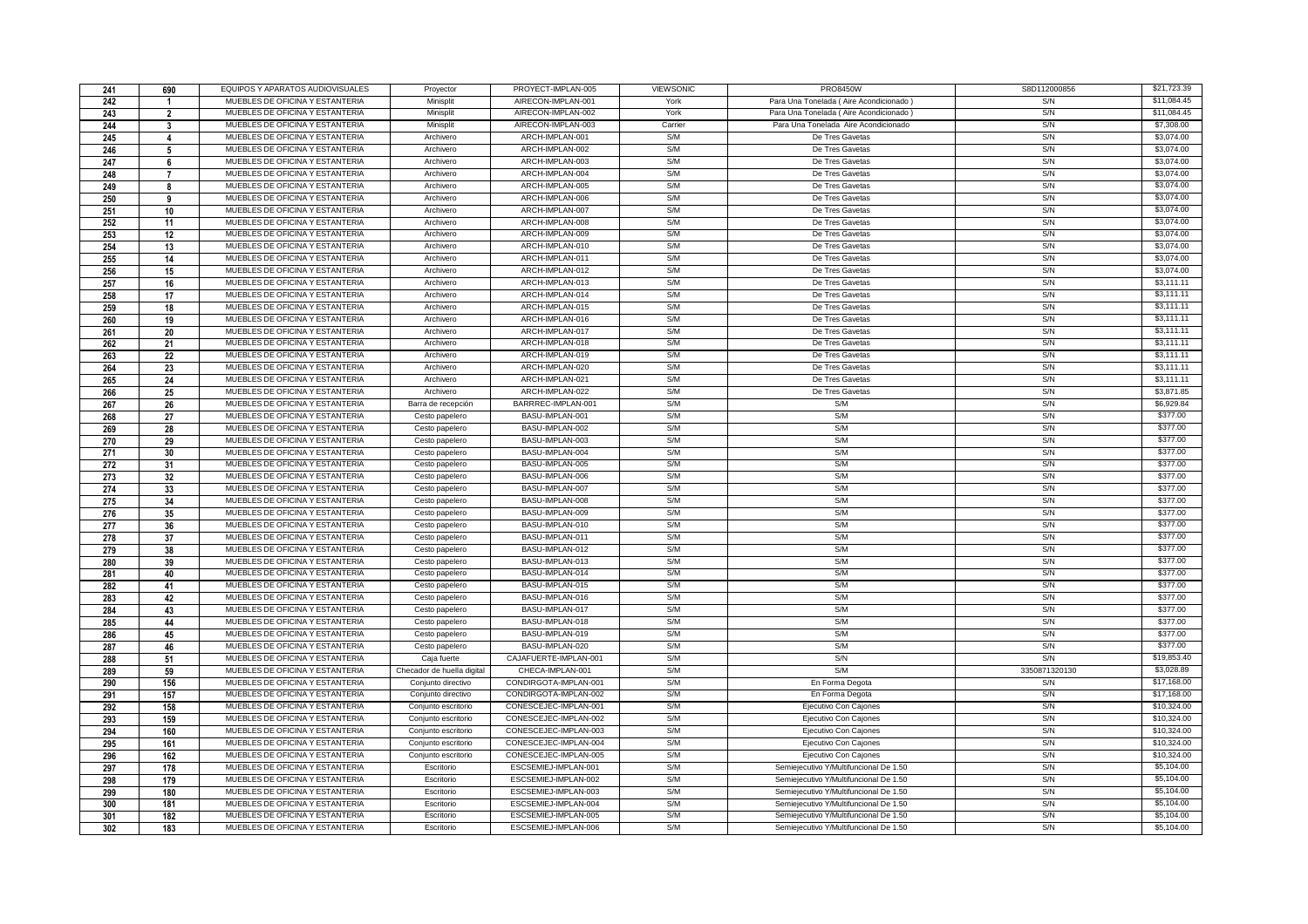| 241 | 690            | EQUIPOS Y APARATOS AUDIOVISUALES | Proyector                  | PROYECT-IMPLAN-005    | <b>VIEWSONIC</b> | <b>PRO8450W</b>                        | S8D112000856  | \$21,723,39              |
|-----|----------------|----------------------------------|----------------------------|-----------------------|------------------|----------------------------------------|---------------|--------------------------|
| 242 |                | MUEBLES DE OFICINA Y ESTANTERIA  | Minisplit                  | AIRECON-IMPLAN-001    | York             | Para Una Tonelada (Aire Acondicionado) | S/N           | \$11,084,45              |
| 243 | $\overline{2}$ | MUEBLES DE OFICINA Y ESTANTERIA  | Minisplit                  | AIRECON-IMPLAN-002    | York             | Para Una Tonelada (Aire Acondicionado) | S/N           | \$11,084.45              |
| 244 | 3              | MUEBLES DE OFICINA Y ESTANTERIA  | Minisplit                  | AIRECON-IMPLAN-003    | Carrier          | Para Una Tonelada Aire Acondicionado   | S/N           | \$7,308.00               |
| 245 | $\Delta$       | MUEBLES DE OFICINA Y ESTANTERIA  | Archivero                  | ARCH-IMPLAN-001       | S/M              | De Tres Gavetas                        | S/N           | \$3,074.00               |
| 246 | 5              | MUEBLES DE OFICINA Y ESTANTERIA  | Archivero                  | ARCH-IMPLAN-002       | S/M              | De Tres Gavetas                        | S/N           | \$3,074.00               |
| 247 | 6              | MUEBLES DE OFICINA Y ESTANTERIA  | Archivero                  | ARCH-IMPLAN-003       | S/M              | De Tres Gavetas                        | S/N           | \$3,074.00               |
| 248 | $\overline{7}$ | MUEBLES DE OFICINA Y ESTANTERIA  | Archivero                  | ARCH-IMPLAN-004       | S/M              | De Tres Gavetas                        | S/N           | \$3,074.00               |
| 249 | 8              | MUEBLES DE OFICINA Y ESTANTERIA  | Archivero                  | ARCH-IMPLAN-005       | S/M              | De Tres Gavetas                        | S/N           | \$3,074.00               |
| 250 | 9              | MUEBLES DE OFICINA Y ESTANTERIA  | Archivero                  | ARCH-IMPLAN-006       | S/M              | De Tres Gavetas                        | S/N           | \$3,074.00               |
| 251 | 10             | MUEBLES DE OFICINA Y ESTANTERIA  | Archivero                  | ARCH-IMPLAN-007       | S/M              | De Tres Gavetas                        | S/N           | \$3,074.00               |
| 252 | 11             | MUEBLES DE OFICINA Y ESTANTERIA  | Archivero                  | ARCH-IMPLAN-008       | S/M              | De Tres Gavetas                        | S/N           | \$3,074.00               |
| 253 | 12             | MUEBLES DE OFICINA Y ESTANTERIA  | Archivero                  | ARCH-IMPLAN-009       | S/M              | De Tres Gavetas                        | S/N           | \$3,074.00               |
| 254 | 13             | MUEBLES DE OFICINA Y ESTANTERIA  | Archivero                  | ARCH-IMPLAN-010       | S/M              | De Tres Gavetas                        | S/N           | \$3,074.00               |
| 255 | 14             | MUEBLES DE OFICINA Y ESTANTERIA  | Archivero                  | ARCH-IMPLAN-011       | S/M              | De Tres Gavetas                        | S/N           | \$3,074.00               |
| 256 | 15             | MUEBLES DE OFICINA Y ESTANTERIA  | Archivero                  | ARCH-IMPLAN-012       | S/M              | De Tres Gavetas                        | S/N           | \$3,074.00               |
| 257 | 16             | MUEBLES DE OFICINA Y ESTANTERIA  | Archivero                  | ARCH-IMPLAN-013       | S/M              | De Tres Gavetas                        | S/N           | \$3,111.11               |
| 258 | 17             | MUEBLES DE OFICINA Y ESTANTERIA  | Archivero                  | ARCH-IMPLAN-014       | S/M              | De Tres Gavetas                        | S/N           | \$3,111.11               |
|     |                | MUEBLES DE OFICINA Y ESTANTERIA  | Archivero                  | ARCH-IMPLAN-015       | S/M              | De Tres Gavetas                        | S/N           | \$3,111.11               |
| 259 | 18             | MUEBLES DE OFICINA Y ESTANTERIA  | Archivero                  | ARCH-IMPLAN-016       | S/M              | De Tres Gavetas                        | S/N           | \$3,111.11               |
| 260 | 19             | MUEBLES DE OFICINA Y ESTANTERIA  |                            | ARCH-IMPLAN-017       | S/M              |                                        | S/N           | \$3,111.11               |
| 261 | 20             | MUEBLES DE OFICINA Y ESTANTERIA  | Archivero                  |                       | S/M              | De Tres Gavetas                        | S/N           |                          |
| 262 | 21             |                                  | Archivero                  | ARCH-IMPLAN-018       |                  | De Tres Gavetas                        |               | \$3,111.11               |
| 263 | 22             | MUEBLES DE OFICINA Y ESTANTERIA  | Archivero                  | ARCH-IMPLAN-019       | S/M<br>S/M       | De Tres Gavetas                        | S/N           | \$3,111.11<br>\$3,111.11 |
| 264 | 23             | MUEBLES DE OFICINA Y ESTANTERIA  | Archivero                  | ARCH-IMPLAN-020       |                  | De Tres Gavetas                        | S/N           |                          |
| 265 | 24             | MUEBLES DE OFICINA Y ESTANTERIA  | Archivero                  | ARCH-IMPLAN-021       | S/M              | De Tres Gavetas                        | S/N           | \$3,111.11               |
| 266 | 25             | MUEBLES DE OFICINA Y ESTANTERIA  | Archivero                  | ARCH-IMPLAN-022       | S/M              | De Tres Gavetas                        | S/N           | \$3,871.85               |
| 267 | 26             | MUEBLES DE OFICINA Y ESTANTERIA  | Barra de recepción         | BARRREC-IMPLAN-001    | S/M              | S/M                                    | S/N           | \$6,929.84               |
| 268 | 27             | MUEBLES DE OFICINA Y ESTANTERIA  | Cesto papelero             | BASU-IMPLAN-001       | S/M              | S/M                                    | S/N           | \$377.00                 |
| 269 | 28             | MUEBLES DE OFICINA Y ESTANTERIA  | Cesto papelero             | BASU-IMPLAN-002       | S/M              | S/M                                    | S/N           | \$377.00                 |
| 270 | 29             | MUEBLES DE OFICINA Y ESTANTERIA  | Cesto papelero             | BASU-IMPLAN-003       | S/M              | SM                                     | S/N           | \$377.00                 |
| 271 | 30             | MUEBLES DE OFICINA Y ESTANTERIA  | Cesto papelero             | BASU-IMPLAN-004       | S/M              | S/M                                    | S/N           | \$377.00                 |
| 272 | 31             | MUEBLES DE OFICINA Y ESTANTERIA  | Cesto papelero             | BASU-IMPLAN-005       | S/M              | S/M                                    | S/N           | \$377.00                 |
| 273 | 32             | MUEBLES DE OFICINA Y ESTANTERIA  | Cesto papelero             | BASU-IMPLAN-006       | S/M              | S/M                                    | S/N           | \$377.00                 |
| 274 | 33             | MUEBLES DE OFICINA Y ESTANTERIA  | Cesto papelero             | BASU-IMPLAN-007       | S/M              | S/M                                    | S/N           | \$377.00                 |
| 275 | 34             | MUEBLES DE OFICINA Y ESTANTERIA  | Cesto papelero             | BASU-IMPLAN-008       | S/M              | S/M                                    | S/N           | \$377.00                 |
| 276 | 35             | MUEBLES DE OFICINA Y ESTANTERIA  | Cesto papelero             | BASU-IMPLAN-009       | S/M              | S/M                                    | S/N           | \$377.00                 |
| 277 | 36             | MUEBLES DE OFICINA Y ESTANTERIA  | Cesto papelero             | BASU-IMPLAN-010       | S/M              | S/M                                    | S/N           | \$377.00                 |
| 278 | 37             | MUEBLES DE OFICINA Y ESTANTERIA  | Cesto papelero             | BASU-IMPLAN-011       | S/M              | S/M                                    | S/N           | \$377.00                 |
| 279 | 38             | MUEBLES DE OFICINA Y ESTANTERIA  | Cesto papelero             | BASU-IMPLAN-012       | S/M              | S/M                                    | S/N           | \$377.00                 |
| 280 | 39             | MUEBLES DE OFICINA Y ESTANTERIA  | Cesto papelero             | BASU-IMPLAN-013       | S/M              | S/M                                    | S/N           | \$377.00                 |
| 281 | 40             | MUEBLES DE OFICINA Y ESTANTERIA  | Cesto papelero             | BASU-IMPLAN-014       | S/M              | S/M                                    | S/N           | \$377.00                 |
| 282 | 41             | MUEBLES DE OFICINA Y ESTANTERIA  | Cesto papelero             | BASU-IMPLAN-015       | S/M              | S/M                                    | S/N           | \$377.00                 |
| 283 | 42             | MUEBLES DE OFICINA Y ESTANTERIA  | Cesto papelero             | BASU-IMPLAN-016       | S/M              | S/M                                    | S/N           | \$377.00                 |
| 284 | 43             | MUEBLES DE OFICINA Y ESTANTERIA  | Cesto papelero             | BASU-IMPLAN-017       | S/M              | S/M                                    | S/N           | \$377.00                 |
| 285 | 44             | MUEBLES DE OFICINA Y ESTANTERIA  | Cesto papelero             | BASU-IMPLAN-018       | S/M              | S/M                                    | S/N           | \$377.00                 |
| 286 | 45             | MUEBLES DE OFICINA Y ESTANTERIA  | Cesto papelero             | BASU-IMPLAN-019       | S/M              | S/M                                    | S/N           | \$377.00                 |
| 287 | 46             | MUEBLES DE OFICINA Y ESTANTERIA  | Cesto papelero             | BASU-IMPLAN-020       | S/M              | S/M                                    | S/N           | \$377.00                 |
| 288 | 51             | MUEBLES DE OFICINA Y ESTANTERIA  | Caja fuerte                | CAJAFUERTE-IMPLAN-001 | S/M              | S/N                                    | S/N           | \$19,853.40              |
| 289 | 59             | MUEBLES DE OFICINA Y ESTANTERIA  | Checador de huella digital | CHECA-IMPLAN-001      | S/M              | S/M                                    | 3350871320130 | \$3,028.89               |
| 290 | 156            | MUEBLES DE OFICINA Y ESTANTERIA  | Conjunto directivo         | CONDIRGOTA-IMPLAN-001 | S/M              | En Forma Degota                        | S/N           | \$17,168.00              |
| 291 | 157            | MUEBLES DE OFICINA Y ESTANTERIA  | Conjunto directivo         | CONDIRGOTA-IMPLAN-002 | S/M              | En Forma Degota                        | S/N           | \$17,168.00              |
| 292 | 158            | MUEBLES DE OFICINA Y ESTANTERIA  | Conjunto escritorio        | CONESCEJEC-IMPLAN-001 | S/M              | Ejecutivo Con Cajones                  | S/N           | \$10,324.00              |
| 293 | 159            | MUEBLES DE OFICINA Y ESTANTERIA  | Conjunto escritorio        | CONESCEJEC-IMPLAN-002 | S/M              | Ejecutivo Con Cajones                  | S/N           | \$10,324.00              |
| 294 | 160            | MUEBLES DE OFICINA Y ESTANTERIA  | Conjunto escritorio        | CONESCEJEC-IMPLAN-003 | S/M              | Ejecutivo Con Cajones                  | S/N           | \$10,324.00              |
| 295 | 161            | MUEBLES DE OFICINA Y ESTANTERIA  | Conjunto escritorio        | CONESCEJEC-IMPLAN-004 | S/M              | Ejecutivo Con Cajones                  | S/N           | \$10,324.00              |
| 296 | 162            | MUEBLES DE OFICINA Y ESTANTERIA  | Conjunto escritorio        | CONESCEJEC-IMPLAN-005 | S/M              | Ejecutivo Con Cajones                  | S/N           | \$10,324.00              |
| 297 | 178            | MUEBLES DE OFICINA Y ESTANTERIA  | Escritorio                 | ESCSEMIEJ-IMPLAN-001  | S/M              | Semiejecutivo Y/Multifuncional De 1.50 | S/N           | \$5,104.00               |
| 298 | 179            | MUEBLES DE OFICINA Y ESTANTERIA  | Escritorio                 | ESCSEMIEJ-IMPLAN-002  | S/M              | Semiejecutivo Y/Multifuncional De 1.50 | S/N           | \$5,104.00               |
| 299 | 180            | MUEBLES DE OFICINA Y ESTANTERIA  | Escritorio                 | ESCSEMIEJ-IMPLAN-003  | S/M              | Semiejecutivo Y/Multifuncional De 1.50 | S/N           | \$5,104.00               |
| 300 | 181            | MUEBLES DE OFICINA Y ESTANTERIA  | Escritorio                 | ESCSEMIEJ-IMPLAN-004  | S/M              | Semiejecutivo Y/Multifuncional De 1.50 | S/N           | \$5,104.00               |
| 301 | 182            | MUEBLES DE OFICINA Y ESTANTERIA  | Escritorio                 | ESCSEMIEJ-IMPLAN-005  | S/M              | Semiejecutivo Y/Multifuncional De 1.50 | S/N           | \$5,104.00               |
| 302 | 183            | MUEBLES DE OFICINA Y ESTANTERIA  | Escritorio                 | ESCSEMIEJ-IMPLAN-006  | S/M              | Semiejecutivo Y/Multifuncional De 1.50 | S/N           | \$5,104.00               |
|     |                |                                  |                            |                       |                  |                                        |               |                          |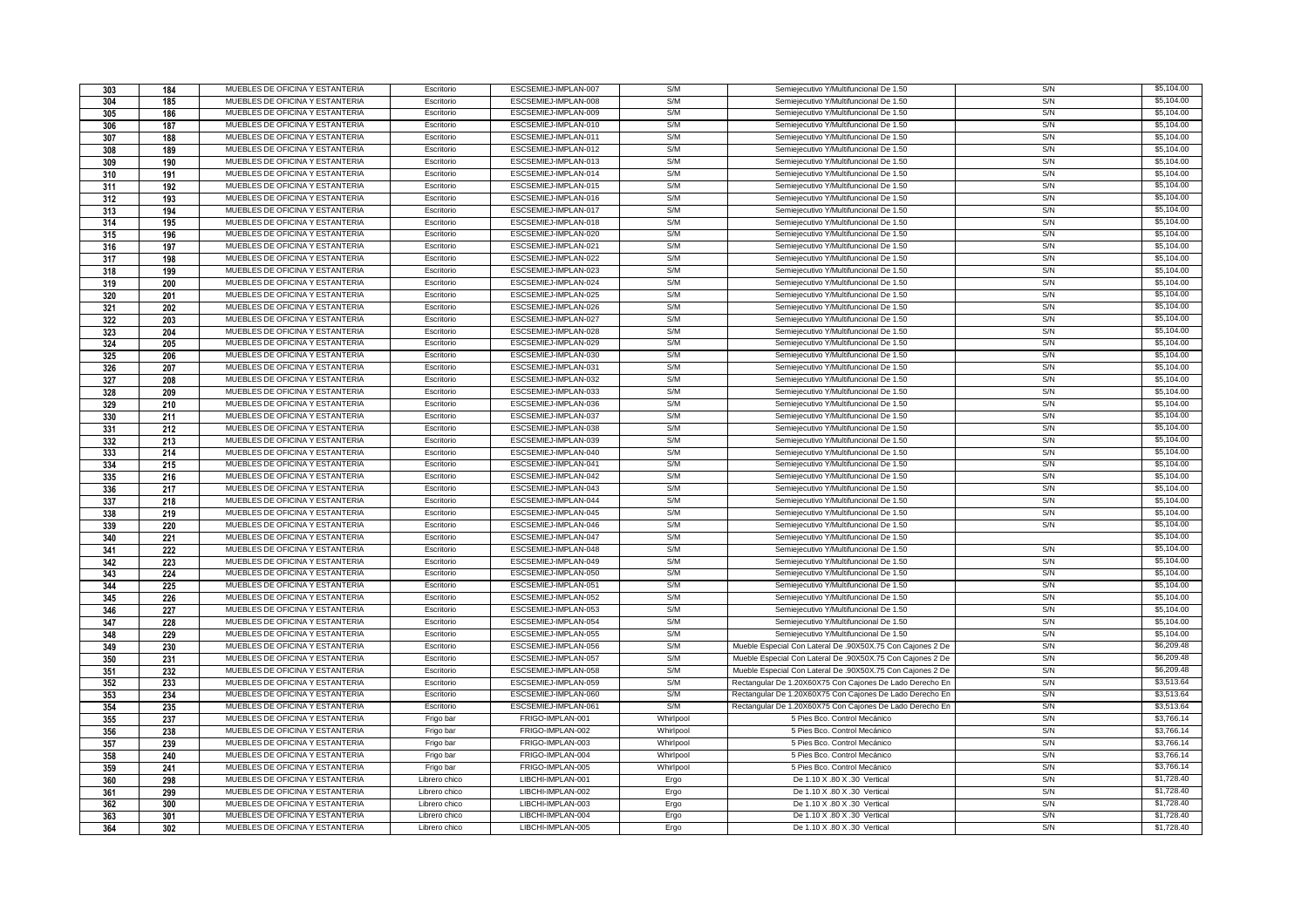| 303        | 184        | MUEBLES DE OFICINA Y ESTANTERIA | Escritorio    | ESCSEMIEJ-IMPLAN-007 | S/M       | Semiejecutivo Y/Multifuncional De 1.50                     | S/N | \$5,104.00 |
|------------|------------|---------------------------------|---------------|----------------------|-----------|------------------------------------------------------------|-----|------------|
| 304        | 185        | MUEBLES DE OFICINA Y ESTANTERIA | Escritorio    | ESCSEMIEJ-IMPLAN-008 | S/M       | Semiejecutivo Y/Multifuncional De 1.50                     | S/N | \$5,104.00 |
| 305        | 186        | MUEBLES DE OFICINA Y ESTANTERIA | Escritorio    | ESCSEMIEJ-IMPLAN-009 | S/M       | Semiejecutivo Y/Multifuncional De 1.50                     | S/N | \$5,104.00 |
| 306        | 187        | MUEBLES DE OFICINA Y ESTANTERIA | Escritorio    | ESCSEMIEJ-IMPLAN-010 | S/M       | Semiejecutivo Y/Multifuncional De 1.50                     | S/N | \$5,104.00 |
| 307        | 188        | MUEBLES DE OFICINA Y ESTANTERIA | Escritorio    | ESCSEMIEJ-IMPLAN-011 | S/M       | Semieiecutivo Y/Multifuncional De 1.50                     | S/N | \$5,104.00 |
| 308        | 189        | MUEBLES DE OFICINA Y ESTANTERIA | Escritorio    | ESCSEMIEJ-IMPLAN-012 | S/M       | Semiejecutivo Y/Multifuncional De 1.50                     | S/N | \$5,104.00 |
| 309        | 190        | MUEBLES DE OFICINA Y ESTANTERIA | Escritorio    | ESCSEMIEJ-IMPLAN-013 | S/M       | Semiejecutivo Y/Multifuncional De 1.50                     | S/N | \$5,104.00 |
| 310        | 191        | MUEBLES DE OFICINA Y ESTANTERIA | Escritorio    | ESCSEMIEJ-IMPLAN-014 | S/M       | Semiejecutivo Y/Multifuncional De 1.50                     | S/N | \$5,104.00 |
| 311        | 192        | MUEBLES DE OFICINA Y ESTANTERIA | Escritorio    | ESCSEMIEJ-IMPLAN-015 | S/M       | Semiejecutivo Y/Multifuncional De 1.50                     | S/N | \$5,104.00 |
| 312        | 193        | MUEBLES DE OFICINA Y ESTANTERIA | Escritorio    | ESCSEMIEJ-IMPLAN-016 | S/M       | Semieiecutivo Y/Multifuncional De 1.50                     | S/N | \$5,104.00 |
| 313        | 194        | MUEBLES DE OFICINA Y ESTANTERIA | Escritorio    | ESCSEMIEJ-IMPLAN-017 | S/M       | Semieiecutivo Y/Multifuncional De 1.50                     | S/N | \$5,104.00 |
| 314        | 195        | MUEBLES DE OFICINA Y ESTANTERIA | Escritorio    | ESCSEMIEJ-IMPLAN-018 | S/M       | Semiejecutivo Y/Multifuncional De 1.50                     | S/N | \$5,104.00 |
| 315        | 196        | MUEBLES DE OFICINA Y ESTANTERIA | Escritorio    | ESCSEMIEJ-IMPLAN-020 | S/M       | Semiejecutivo Y/Multifuncional De 1.50                     | S/N | \$5,104.00 |
| 316        | 197        | MUEBLES DE OFICINA Y ESTANTERIA | Escritorio    | ESCSEMIEJ-IMPLAN-021 | S/M       | Semiejecutivo Y/Multifuncional De 1.50                     | S/N | \$5,104.00 |
| 317        | 198        | MUEBLES DE OFICINA Y ESTANTERIA | Escritorio    | ESCSEMIEJ-IMPLAN-022 | S/M       | Semieiecutivo Y/Multifuncional De 1.50                     | S/N | \$5,104.00 |
| 318        | 199        | MUEBLES DE OFICINA Y ESTANTERIA | Escritorio    | ESCSEMIEJ-IMPLAN-023 | S/M       | Semieiecutivo Y/Multifuncional De 1.50                     | S/N | \$5,104.00 |
| 319        | 200        | MUEBLES DE OFICINA Y ESTANTERIA | Escritorio    | ESCSEMIEJ-IMPLAN-024 | S/M       | Semiejecutivo Y/Multifuncional De 1.50                     | S/N | \$5,104.00 |
| 320        | 201        | MUEBLES DE OFICINA Y ESTANTERIA | Escritorio    | ESCSEMIEJ-IMPLAN-025 | S/M       | Semiejecutivo Y/Multifuncional De 1.50                     | S/N | \$5,104.00 |
| 321        | 202        | MUEBLES DE OFICINA Y ESTANTERIA | Escritorio    | ESCSEMIEJ-IMPLAN-026 | S/M       | Semiejecutivo Y/Multifuncional De 1.50                     | S/N | \$5,104.00 |
| 322        | 203        | MUEBLES DE OFICINA Y ESTANTERIA | Escritorio    | ESCSEMIEJ-IMPLAN-027 | S/M       | Semieiecutivo Y/Multifuncional De 1.50                     | S/N | \$5,104.00 |
| 323        | 204        | MUEBLES DE OFICINA Y ESTANTERIA | Escritorio    | ESCSEMIEJ-IMPLAN-028 | S/M       | Semieiecutivo Y/Multifuncional De 1.50                     | S/N | \$5,104.00 |
| 324        | 205        | MUEBLES DE OFICINA Y ESTANTERIA | Escritorio    | ESCSEMIEJ-IMPLAN-029 | S/M       | Semiejecutivo Y/Multifuncional De 1.50                     | S/N | \$5,104.00 |
| 325        | 206        | MUEBLES DE OFICINA Y ESTANTERIA | Escritorio    | ESCSEMIEJ-IMPLAN-030 | S/M       | Semiejecutivo Y/Multifuncional De 1.50                     | S/N | \$5,104.00 |
| 326        | 207        | MUEBLES DE OFICINA Y ESTANTERIA | Escritorio    | ESCSEMIEJ-IMPLAN-031 | S/M       | Semiejecutivo Y/Multifuncional De 1.50                     | S/N | \$5,104.00 |
| 327        | 208        | MUEBLES DE OFICINA Y ESTANTERIA | Escritorio    | ESCSEMIEJ-IMPLAN-032 | S/M       | Semiejecutivo Y/Multifuncional De 1.50                     | S/N | \$5,104.00 |
| 328        | 209        | MUEBLES DE OFICINA Y ESTANTERIA | Escritorio    | ESCSEMIEJ-IMPLAN-033 | S/M       | Semiejecutivo Y/Multifuncional De 1.50                     | S/N | \$5,104.00 |
| 329        | 210        | MUEBLES DE OFICINA Y ESTANTERIA | Escritorio    | ESCSEMIEJ-IMPLAN-036 | S/M       | Semiejecutivo Y/Multifuncional De 1.50                     | S/N | \$5,104.00 |
| 330        | 211        | MUEBLES DE OFICINA Y ESTANTERIA | Escritorio    | ESCSEMIEJ-IMPLAN-037 | S/M       | Semiejecutivo Y/Multifuncional De 1.50                     | S/N | \$5,104.00 |
| 331        | 212        | MUEBLES DE OFICINA Y ESTANTERIA | Escritorio    | ESCSEMIEJ-IMPLAN-038 | S/M       | Semiejecutivo Y/Multifuncional De 1.50                     | S/N | \$5,104.00 |
| 332        | 213        | MUEBLES DE OFICINA Y ESTANTERIA | Escritorio    | ESCSEMIEJ-IMPLAN-039 | S/M       | Semiejecutivo Y/Multifuncional De 1.50                     | S/N | \$5,104.00 |
| 333        | 214        | MUEBLES DE OFICINA Y ESTANTERIA | Escritorio    | ESCSEMIEJ-IMPLAN-040 | S/M       | Semiejecutivo Y/Multifuncional De 1.50                     | S/N | \$5,104.00 |
| 334        | 215        | MUEBLES DE OFICINA Y ESTANTERIA | Escritorio    | ESCSEMIEJ-IMPLAN-041 | S/M       | Semiejecutivo Y/Multifuncional De 1.50                     | S/N | \$5,104.00 |
| 335        | 216        | MUEBLES DE OFICINA Y ESTANTERIA | Escritorio    | ESCSEMIEJ-IMPLAN-042 | S/M       | Semiejecutivo Y/Multifuncional De 1.50                     | S/N | \$5,104.00 |
| 336        | 217        | MUEBLES DE OFICINA Y ESTANTERIA | Escritorio    | ESCSEMIEJ-IMPLAN-043 | S/M       | Semiejecutivo Y/Multifuncional De 1.50                     | S/N | \$5,104.00 |
| 337        | 218        | MUEBLES DE OFICINA Y ESTANTERIA | Escritorio    | ESCSEMIEJ-IMPLAN-044 | S/M       | Semiejecutivo Y/Multifuncional De 1.50                     | S/N | \$5,104.00 |
| 338        |            |                                 |               |                      |           |                                                            |     |            |
|            |            | MUEBLES DE OFICINA Y ESTANTERIA | Escritorio    | ESCSEMIEJ-IMPLAN-045 | S/M       | Semieiecutivo Y/Multifuncional De 1.50                     | S/N | \$5,104.00 |
|            | 219        | MUEBLES DE OFICINA Y ESTANTERIA | Escritorio    | ESCSEMIEJ-IMPLAN-046 | S/M       | Semiejecutivo Y/Multifuncional De 1.50                     | S/N | \$5,104.00 |
| 339        | 220        | MUEBLES DE OFICINA Y ESTANTERIA | Escritorio    | ESCSEMIEJ-IMPLAN-047 | S/M       | Semiejecutivo Y/Multifuncional De 1.50                     |     | \$5,104.00 |
| 340        | 221        | MUEBLES DE OFICINA Y ESTANTERIA | Escritorio    | ESCSEMIEJ-IMPLAN-048 | S/M       | Semiejecutivo Y/Multifuncional De 1.50                     | S/N | \$5,104.00 |
| 341        | 222        | MUEBLES DE OFICINA Y ESTANTERIA | Escritorio    | ESCSEMIEJ-IMPLAN-049 | S/M       | Semiejecutivo Y/Multifuncional De 1.50                     | S/N | \$5,104.00 |
| 342        | 223        | MUEBLES DE OFICINA Y ESTANTERIA | Escritorio    | ESCSEMIEJ-IMPLAN-050 | S/M       | Semiejecutivo Y/Multifuncional De 1.50                     | S/N | \$5,104.00 |
| 343<br>344 | 224        | MUEBLES DE OFICINA Y ESTANTERIA | Escritorio    | ESCSEMIEJ-IMPLAN-051 | S/M       | Semiejecutivo Y/Multifuncional De 1.50                     | S/N | \$5,104.00 |
| 345        | 225        | MUEBLES DE OFICINA Y ESTANTERIA | Escritorio    | ESCSEMIEJ-IMPLAN-052 | S/M       | Semiejecutivo Y/Multifuncional De 1.50                     | S/N | \$5,104.00 |
| 346        | 226<br>227 | MUEBLES DE OFICINA Y ESTANTERIA | Escritorio    | ESCSEMIEJ-IMPLAN-053 | S/M       | Semiejecutivo Y/Multifuncional De 1.50                     | S/N | \$5,104.00 |
| 347        | 228        | MUEBLES DE OFICINA Y ESTANTERIA | Escritorio    | ESCSEMIEJ-IMPLAN-054 | S/M       | Semiejecutivo Y/Multifuncional De 1.50                     | S/N | \$5,104.00 |
| 348        | 229        | MUEBLES DE OFICINA Y ESTANTERIA | Escritorio    | ESCSEMIEJ-IMPLAN-055 | S/M       | Semiejecutivo Y/Multifuncional De 1.50                     | S/N | \$5,104.00 |
| 349        | 230        | MUEBLES DE OFICINA Y ESTANTERIA | Escritorio    | ESCSEMIEJ-IMPLAN-056 | S/M       | Mueble Especial Con Lateral De .90X50X.75 Con Caiones 2 De | S/N | \$6,209.48 |
| 350        | 231        | MUEBLES DE OFICINA Y ESTANTERIA | Escritorio    | ESCSEMIEJ-IMPLAN-057 | S/M       | Mueble Especial Con Lateral De .90X50X.75 Con Cajones 2 De | S/N | \$6,209.48 |
| 351        | 232        | MUEBLES DE OFICINA Y ESTANTERIA | Escritorio    | ESCSEMIEJ-IMPLAN-058 | S/M       | Mueble Especial Con Lateral De .90X50X.75 Con Cajones 2 De | S/N | \$6,209.48 |
| 352        | 233        | MUEBLES DE OFICINA Y ESTANTERIA | Escritorio    | ESCSEMIEJ-IMPLAN-059 | S/M       | Rectangular De 1.20X60X75 Con Cajones De Lado Derecho En   | S/N | \$3,513.64 |
| 353        | 234        | MUEBLES DE OFICINA Y ESTANTERIA | Escritorio    | ESCSEMIEJ-IMPLAN-060 | S/M       | Rectangular De 1.20X60X75 Con Cajones De Lado Derecho En   | S/N | \$3,513.64 |
| 354        | 235        | MUEBLES DE OFICINA Y ESTANTERIA | Escritorio    | ESCSEMIEJ-IMPLAN-061 | S/M       | Rectangular De 1.20X60X75 Con Cajones De Lado Derecho En   | S/N | \$3,513.64 |
| 355        | 237        | MUEBLES DE OFICINA Y ESTANTERIA | Frigo bar     | FRIGO-IMPLAN-001     | Whirlpool | 5 Pies Bco. Control Mecánico                               | S/N | \$3,766.14 |
| 356        | 238        | MUEBLES DE OFICINA Y ESTANTERIA | Frigo bar     | FRIGO-IMPLAN-002     | Whirlpool | 5 Pies Bco. Control Mecánico                               | S/N | \$3,766.14 |
| 357        | 239        | MUEBLES DE OFICINA Y ESTANTERIA | Frigo bar     | FRIGO-IMPLAN-003     | Whirlpool | 5 Pies Bco. Control Mecánico                               | S/N | \$3,766.14 |
| 358        | 240        | MUEBLES DE OFICINA Y ESTANTERIA | Frigo bar     | FRIGO-IMPLAN-004     | Whirlpool | 5 Pies Bco. Control Mecánico                               | S/N | \$3,766.14 |
| 359        | 241        | MUEBLES DE OFICINA Y ESTANTERIA | Frigo bar     | FRIGO-IMPLAN-005     | Whirlpool | 5 Pies Bco. Control Mecánico                               | S/N | \$3,766.14 |
| 360        | 298        | MUEBLES DE OFICINA Y ESTANTERIA | Librero chico | LIBCHI-IMPLAN-001    | Ergo      | De 1.10 X .80 X .30 Vertical                               | S/N | \$1,728.40 |
| 361        | 299        | MUEBLES DE OFICINA Y ESTANTERIA | Librero chico | LIBCHI-IMPLAN-002    | Ergo      | De 1.10 X .80 X .30 Vertical                               | S/N | \$1,728.40 |
| 362        | 300        | MUEBLES DE OFICINA Y ESTANTERIA | Librero chico | LIBCHI-IMPLAN-003    | Ergo      | De 1.10 X .80 X .30 Vertical                               | S/N | \$1,728.40 |
| 363        | 301        | MUEBLES DE OFICINA Y ESTANTERIA | Librero chico | LIBCHI-IMPLAN-004    | Ergo      | De 1.10 X .80 X .30 Vertical                               | S/N | \$1,728.40 |
| 364        | 302        | MUEBLES DE OFICINA Y ESTANTERIA | Librero chico | LIBCHI-IMPLAN-005    | Ergo      | De 1.10 X .80 X .30 Vertical                               | S/N | \$1,728.40 |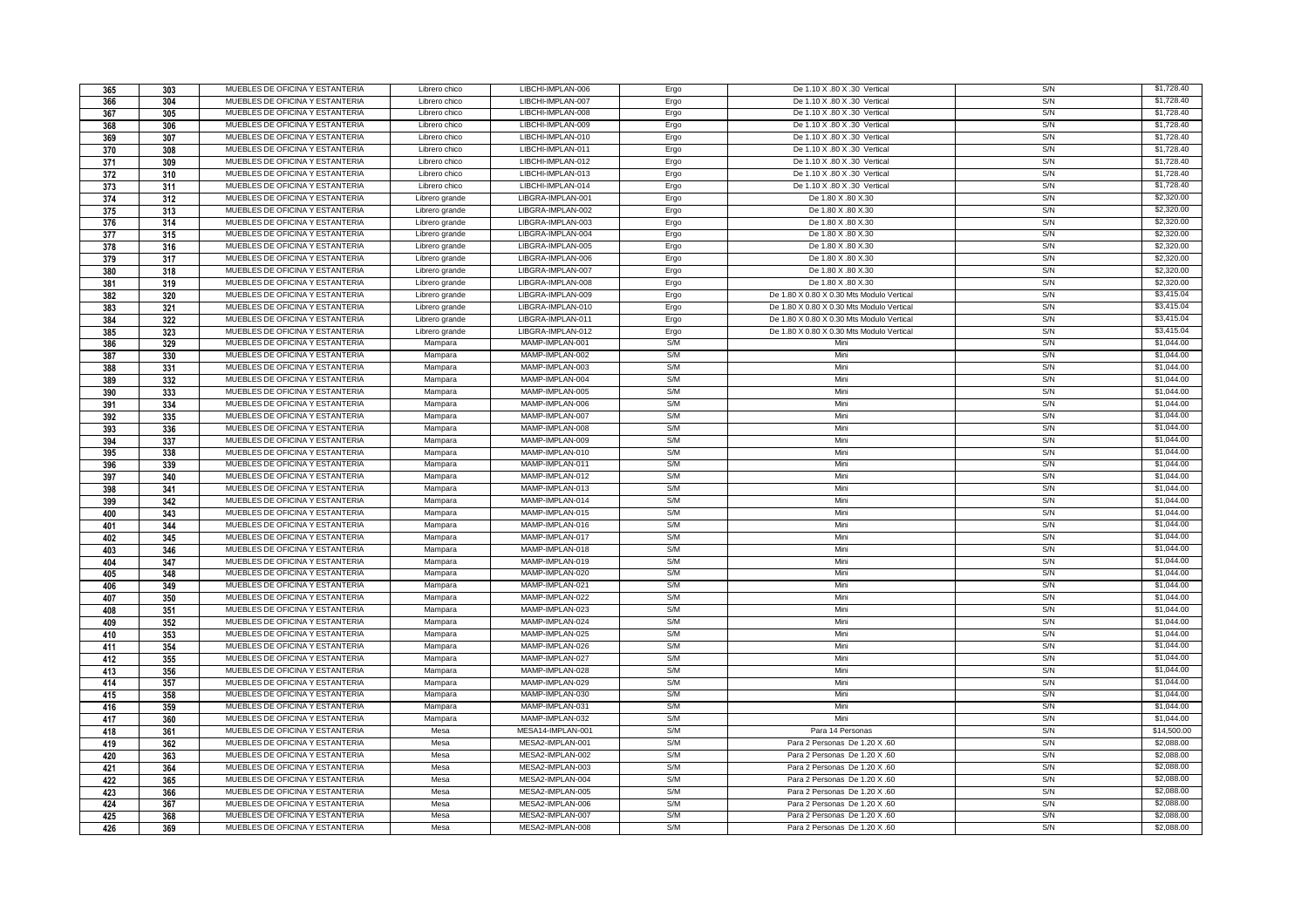| 365        | 303        | MUEBLES DE OFICINA Y ESTANTERIA                                    | Librero chico  | LIBCHI-IMPLAN-006                    | Ergo         | De 1.10 X .80 X .30 Vertical                                   | S/N        | \$1,728.40               |
|------------|------------|--------------------------------------------------------------------|----------------|--------------------------------------|--------------|----------------------------------------------------------------|------------|--------------------------|
| 366        | 304        | MUEBLES DE OFICINA Y ESTANTERIA                                    | Librero chico  | LIBCHI-IMPLAN-007                    | Ergo         | De 1.10 X .80 X .30 Vertical                                   | S/N        | \$1,728.40               |
| 367        | 305        | MUEBLES DE OFICINA Y ESTANTERIA                                    | Librero chico  | LIBCHI-IMPLAN-008                    | Ergo         | De 1.10 X .80 X .30 Vertical                                   | S/N        | \$1,728.40               |
| 368        | 306        | MUEBLES DE OFICINA Y ESTANTERIA                                    | Librero chico  | LIBCHI-IMPLAN-009                    | Ergo         | De 1.10 X .80 X .30 Vertical                                   | S/N        | \$1,728.40               |
| 369        | 307        | MUEBLES DE OFICINA Y ESTANTERIA                                    | Librero chico  | LIBCHI-IMPLAN-010                    | Ergo         | De 1.10 X .80 X .30 Vertical                                   | S/N        | \$1,728.40               |
| 370        | 308        | MUEBLES DE OFICINA Y ESTANTERIA                                    | Librero chico  | LIBCHI-IMPLAN-011                    | Ergo         | De 1.10 X .80 X .30 Vertical                                   | S/N        | \$1,728.40               |
| 371        | 309        | MUEBLES DE OFICINA Y ESTANTERIA                                    | Librero chico  | LIBCHI-IMPLAN-012                    | Ergo         | De 1.10 X .80 X .30 Vertical                                   | S/N        | \$1,728.40               |
| 372        | 310        | MUEBLES DE OFICINA Y ESTANTERIA                                    | Librero chico  | LIBCHI-IMPLAN-013                    | Ergo         | De 1.10 X .80 X .30 Vertical                                   | S/N        | \$1,728.40               |
| 373        | 311        | MUEBLES DE OFICINA Y ESTANTERIA                                    | Librero chico  | LIBCHI-IMPLAN-014                    | Ergo         | De 1.10 X .80 X .30 Vertical                                   | S/N        | \$1,728.40               |
| 374        | 312        | MUEBLES DE OFICINA Y ESTANTERIA                                    | Librero grande | LIBGRA-IMPLAN-001                    | Ergo         | De 1.80 X.80 X.30                                              | S/N        | \$2,320.00               |
| 375        | 313        | MUEBLES DE OFICINA Y ESTANTERIA                                    | Librero grande | LIBGRA-IMPLAN-002                    | Ergo         | De 1.80 X.80 X.30                                              | S/N        | \$2,320,00               |
| 376        | 314        | MUEBLES DE OFICINA Y ESTANTERIA                                    | Librero grande | LIBGRA-IMPLAN-003                    | Ergo         | De 1.80 X.80 X.30                                              | S/N        | \$2,320.00               |
| 377        | 315        | MUEBLES DE OFICINA Y ESTANTERIA                                    | Librero grande | LIBGRA-IMPLAN-004                    | Ergo         | De 1.80 X.80 X.30                                              | S/N        | \$2,320.00               |
| 378        | 316        | MUEBLES DE OFICINA Y ESTANTERIA                                    | Librero grande | LIBGRA-IMPLAN-005                    | Ergo         | De 1.80 X.80 X.30                                              | S/N        | \$2,320.00               |
| 379        | 317        | MUEBLES DE OFICINA Y ESTANTERIA                                    | Librero grande | LIBGRA-IMPLAN-006                    | Ergo         | De 1.80 X.80 X.30                                              | S/N        | \$2,320.00               |
| 380        | 318        | MUEBLES DE OFICINA Y ESTANTERIA                                    | Librero grande | LIBGRA-IMPLAN-007                    | Ergo         | De 1.80 X.80 X.30                                              | S/N        | \$2,320.00               |
| 381        | 319        | MUEBLES DE OFICINA Y ESTANTERIA                                    | Librero grande | LIBGRA-IMPLAN-008                    | Ergo         | De 1.80 X.80 X.30                                              | S/N        | \$2,320.00               |
| 382        | 320        | MUEBLES DE OFICINA Y ESTANTERIA                                    | Librero grande | LIBGRA-IMPLAN-009                    | Ergo         | De 1.80 X 0.80 X 0.30 Mts Modulo Vertical                      | S/N        | \$3,415.04               |
|            |            | MUEBLES DE OFICINA Y ESTANTERIA                                    | Librero grande | LIBGRA-IMPLAN-010                    | Ergo         | De 1.80 X 0.80 X 0.30 Mts Modulo Vertical                      | S/N        | \$3,415.04               |
| 383        | 321        | MUEBLES DE OFICINA Y ESTANTERIA                                    |                | LIBGRA-IMPLAN-011                    |              | De 1.80 X 0.80 X 0.30 Mts Modulo Vertical                      | S/N        | \$3,415.04               |
| 384        | 322        | MUEBLES DE OFICINA Y ESTANTERIA                                    | Librero grande | LIBGRA-IMPLAN-012                    | Ergo<br>Ergo | De 1.80 X 0.80 X 0.30 Mts Modulo Vertical                      | S/N        | \$3,415.04               |
| 385        | 323        |                                                                    | Librero grande |                                      |              | Min                                                            |            |                          |
| 386        | 329        | MUEBLES DE OFICINA Y ESTANTERIA                                    | Mampara        | MAMP-IMPLAN-001                      | S/M<br>S/M   | Mini                                                           | S/N<br>S/N | \$1,044.00               |
| 387        | 330        | MUEBLES DE OFICINA Y ESTANTERIA                                    | Mampara        | MAMP-IMPLAN-002                      |              |                                                                |            | \$1,044.00               |
| 388        | 331        | MUEBLES DE OFICINA Y ESTANTERIA                                    | Mampara        | MAMP-IMPLAN-003                      | S/M          | Mini                                                           | S/N        | \$1,044.00<br>\$1,044.00 |
| 389        | 332        | MUEBLES DE OFICINA Y ESTANTERIA                                    | Mampara        | MAMP-IMPLAN-004                      | S/M          | Mini                                                           | S/N        |                          |
| 390        | 333        | MUEBLES DE OFICINA Y ESTANTERIA                                    | Mampara        | MAMP-IMPLAN-005                      | S/M<br>S/M   | Mini<br>Mini                                                   | S/N        | \$1,044.00               |
| 391        | 334        | MUEBLES DE OFICINA Y ESTANTERIA                                    | Mampara        | MAMP-IMPLAN-006                      |              |                                                                | S/N        | \$1,044.00               |
| 392        | 335        | MUEBLES DE OFICINA Y ESTANTERIA                                    | Mampara        | MAMP-IMPLAN-007                      | S/M          | Mini                                                           | S/N        | \$1,044.00               |
| 393        | 336        | MUEBLES DE OFICINA Y ESTANTERIA                                    | Mampara        | MAMP-IMPLAN-008                      | S/M          | Mini                                                           | S/N        | \$1,044.00               |
| 394        | 337        | MUEBLES DE OFICINA Y ESTANTERIA                                    | Mampara        | MAMP-IMPLAN-009                      | S/M          | Mini                                                           | S/N        | \$1,044.00               |
| 395        | 338        | MUEBLES DE OFICINA Y ESTANTERIA                                    | Mampara        | MAMP-IMPLAN-010                      | S/M          | Mini                                                           | S/N        | \$1,044.00               |
|            |            |                                                                    |                |                                      |              |                                                                |            |                          |
| 396        | 339        | MUEBLES DE OFICINA Y ESTANTERIA                                    | Mampara        | MAMP-IMPLAN-011                      | S/M          | Mini                                                           | S/N        | \$1,044.00               |
| 397        | 340        | MUEBLES DE OFICINA Y ESTANTERIA                                    | Mampara        | MAMP-IMPLAN-012                      | S/M          | Mini                                                           | S/N        | \$1,044.00               |
| 398        | 341        | MUEBLES DE OFICINA Y ESTANTERIA                                    | Mampara        | MAMP-IMPLAN-013                      | S/M          | Mini                                                           | S/N        | \$1,044.00               |
| 399        | 342        | MUEBLES DE OFICINA Y ESTANTERIA                                    | Mampara        | MAMP-IMPLAN-014                      | S/M          | Mini                                                           | S/N        | \$1,044.00               |
| 400        | 343        | MUEBLES DE OFICINA Y ESTANTERIA                                    | Mampara        | MAMP-IMPLAN-015                      | S/M          | Mini                                                           | S/N        | \$1,044.00               |
| 401        | 344        | MUEBLES DE OFICINA Y ESTANTERIA                                    | Mampara        | MAMP-IMPLAN-016                      | S/M          | Mini                                                           | S/N        | \$1,044.00               |
| 402        | 345        | MUEBLES DE OFICINA Y ESTANTERIA                                    | Mampara        | MAMP-IMPLAN-017                      | S/M          | Mini                                                           | S/N        | \$1,044.00               |
| 403        | 346        | MUEBLES DE OFICINA Y ESTANTERIA                                    | Mampara        | MAMP-IMPLAN-018                      | S/M          | Mini                                                           | S/N        | \$1,044.00               |
| 404        | 347        | MUEBLES DE OFICINA Y ESTANTERIA                                    | Mampara        | MAMP-IMPLAN-019                      | S/M          | Mini                                                           | S/N        | \$1,044.00               |
| 405        | 348        | MUEBLES DE OFICINA Y ESTANTERIA                                    | Mampara        | MAMP-IMPLAN-020                      | S/M          | Mini                                                           | S/N        | \$1,044.00               |
| 406        | 349        | MUEBLES DE OFICINA Y ESTANTERIA                                    | Mampara        | MAMP-IMPLAN-021                      | S/M          | Mini                                                           | S/N        | \$1,044.00               |
| 407        | 350        | MUEBLES DE OFICINA Y ESTANTERIA                                    | Mampara        | MAMP-IMPLAN-022                      | S/M          | Mini                                                           | S/N        | \$1,044.00               |
| 408        | 351        | MUEBLES DE OFICINA Y ESTANTERIA                                    | Mampara        | MAMP-IMPLAN-023                      | S/M          | Mini                                                           | S/N        | \$1,044.00               |
| 409        | 352        | MUEBLES DE OFICINA Y ESTANTERIA                                    | Mampara        | MAMP-IMPLAN-024                      | S/M          | Mini                                                           | S/N        | \$1,044.00               |
| 410        | 353        | MUEBLES DE OFICINA Y ESTANTERIA                                    | Mampara        | MAMP-IMPLAN-025                      | S/M          | Mini                                                           | S/N        | \$1,044.00               |
| 411        | 354        | MUEBLES DE OFICINA Y ESTANTERIA                                    | Mampara        | MAMP-IMPLAN-026                      | S/M          | Mini                                                           | S/N        | \$1,044.00               |
| 412        | 355        | MUEBLES DE OFICINA Y ESTANTERIA                                    | Mampara        | MAMP-IMPLAN-027                      | S/M          | Mini                                                           | S/N        | \$1,044.00               |
| 413        | 356        | MUEBLES DE OFICINA Y ESTANTERIA                                    | Mampara        | MAMP-IMPLAN-028                      | S/M          | Mini                                                           | S/N        | \$1,044.00               |
| 414        | 357        | MUEBLES DE OFICINA Y ESTANTERIA                                    | Mampara        | MAMP-IMPLAN-029                      | S/M          | Mini                                                           | S/N        | \$1,044.00               |
| 415        | 358        | MUEBLES DE OFICINA Y ESTANTERIA                                    | Mampara        | MAMP-IMPLAN-030                      | S/M          | Mini                                                           | S/N        | \$1,044.00               |
| 416        | 359        | MUEBLES DE OFICINA Y ESTANTERIA                                    | Mampara        | MAMP-IMPLAN-031                      | S/M          | Mini                                                           | S/N        | \$1,044.00               |
| 417        | 360        | MUEBLES DE OFICINA Y ESTANTERIA                                    | Mampara        | MAMP-IMPLAN-032                      | S/M          | Mini                                                           | S/N        | \$1,044.00               |
| 418        | 361        | MUEBLES DE OFICINA Y ESTANTERIA                                    | Mesa           | MESA14-IMPLAN-001                    | S/M          | Para 14 Personas                                               | S/N        | \$14,500.00              |
| 419        | 362        | MUEBLES DE OFICINA Y ESTANTERIA                                    | Mesa           | MESA2-IMPLAN-001                     | S/M          | Para 2 Personas De 1.20 X .60                                  | S/N        | \$2,088.00               |
| 420        | 363        | MUEBLES DE OFICINA Y ESTANTERIA                                    | Mesa           | MESA2-IMPLAN-002                     | S/M          | Para 2 Personas De 1.20 X .60                                  | S/N        | \$2,088,00               |
| 421        | 364        | MUEBLES DE OFICINA Y ESTANTERIA                                    | Mesa           | MESA2-IMPLAN-003                     | S/M          | Para 2 Personas De 1.20 X .60                                  | S/N        | \$2,088.00               |
| 422        | 365        | MUEBLES DE OFICINA Y ESTANTERIA                                    | Mesa           | MESA2-IMPLAN-004                     | S/M          | Para 2 Personas De 1.20 X .60                                  | S/N        | \$2,088.00               |
| 423        | 366        | MUEBLES DE OFICINA Y ESTANTERIA                                    | Mesa           | MESA2-IMPLAN-005                     | S/M          | Para 2 Personas De 1.20 X .60                                  | S/N        | \$2,088.00               |
| 424        | 367        | MUEBLES DE OFICINA Y ESTANTERIA                                    | Mesa           | MESA2-IMPLAN-006                     | S/M          | Para 2 Personas De 1.20 X .60                                  | S/N        | \$2,088.00               |
| 425<br>426 | 368<br>369 | MUEBLES DE OFICINA Y ESTANTERIA<br>MUEBLES DE OFICINA Y ESTANTERIA | Mesa<br>Mesa   | MESA2-IMPLAN-007<br>MESA2-IMPLAN-008 | S/M<br>S/M   | Para 2 Personas De 1.20 X .60<br>Para 2 Personas De 1.20 X .60 | S/N<br>S/N | \$2,088.00<br>\$2,088.00 |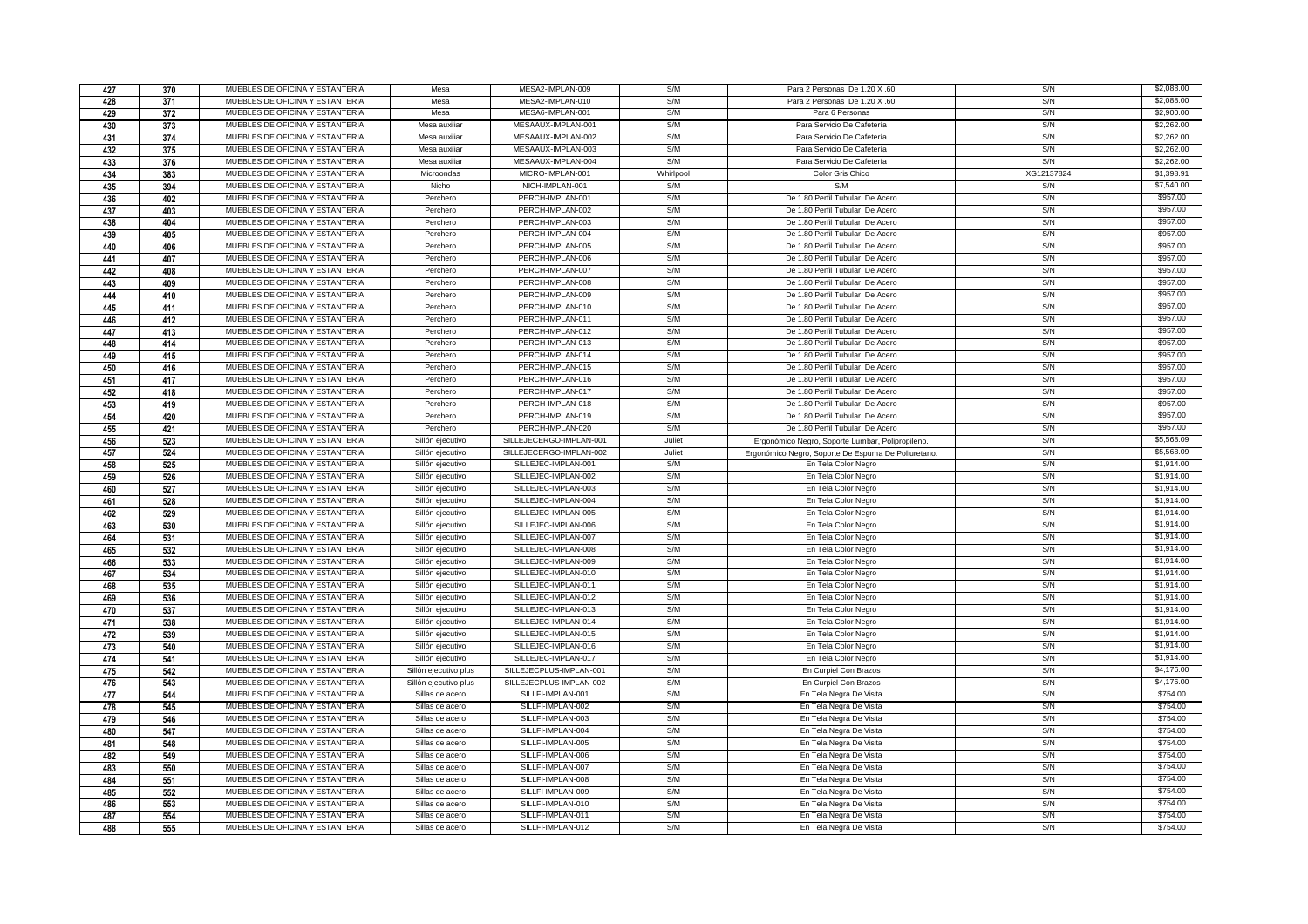| 427        | 370        | MUEBLES DE OFICINA Y ESTANTERIA                                    | Mesa                               | MESA2-IMPLAN-009                       | S/M        | Para 2 Personas De 1.20 X .60                       | S/N        | \$2,088.00           |
|------------|------------|--------------------------------------------------------------------|------------------------------------|----------------------------------------|------------|-----------------------------------------------------|------------|----------------------|
| 428        | 371        | MUEBLES DE OFICINA Y ESTANTERIA                                    | Mesa                               | MESA2-IMPLAN-010                       | S/M        | Para 2 Personas De 1.20 X .60                       | S/N        | \$2,088.00           |
| 429        | 372        | MUEBLES DE OFICINA Y ESTANTERIA                                    | Mesa                               | MESA6-IMPLAN-001                       | S/M        | Para 6 Personas                                     | S/N        | \$2,900.00           |
| 430        | 373        | MUEBLES DE OFICINA Y ESTANTERIA                                    | Mesa auxiliar                      | MESAAUX-IMPLAN-001                     | S/M        | Para Servicio De Cafetería                          | S/N        | \$2,262.00           |
| 431        | 374        | MUEBLES DE OFICINA Y ESTANTERIA                                    | Mesa auxiliar                      | MESAAUX-IMPLAN-002                     | S/M        | Para Servicio De Cafetería                          | S/N        | \$2,262.00           |
| 432        | 375        | MUEBLES DE OFICINA Y ESTANTERIA                                    | Mesa auxiliar                      | MESAAUX-IMPLAN-003                     | S/M        | Para Servicio De Cafetería                          | S/N        | \$2,262.00           |
| 433        | 376        | MUEBLES DE OFICINA Y ESTANTERIA                                    | Mesa auxiliar                      | MESAAUX-IMPLAN-004                     | S/M        | Para Servicio De Cafetería                          | S/N        | \$2,262.00           |
| 434        | 383        | MUEBLES DE OFICINA Y ESTANTERIA                                    | Microondas                         | MICRO-IMPLAN-001                       | Whirlpool  | Color Gris Chico                                    | XG12137824 | \$1,398.91           |
| 435        | 394        | MUEBLES DE OFICINA Y ESTANTERIA                                    | Nicho                              | NICH-IMPLAN-001                        | S/M        | S/M                                                 | S/N        | \$7,540.00           |
| 436        | 402        | MUEBLES DE OFICINA Y ESTANTERIA                                    | Perchero                           | PERCH-IMPLAN-001                       | S/M        | De 1.80 Perfil Tubular De Acero                     | S/N        | \$957.00             |
| 437        | 403        | MUEBLES DE OFICINA Y ESTANTERIA                                    | Perchero                           | PERCH-IMPLAN-002                       | S/M        | De 1.80 Perfil Tubular De Acero                     | S/N        | \$957.00             |
| 438        | 404        | MUEBLES DE OFICINA Y ESTANTERIA                                    | Perchero                           | PERCH-IMPLAN-003                       | S/M        | De 1.80 Perfil Tubular De Acero                     | S/N        | \$957.00             |
| 439        | 405        | MUEBLES DE OFICINA Y ESTANTERIA                                    | Perchero                           | PERCH-IMPLAN-004                       | S/M        | De 1.80 Perfil Tubular De Acero                     | S/N        | \$957.00             |
| 440        | 406        | MUEBLES DE OFICINA Y ESTANTERIA                                    | Perchero                           | PERCH-IMPLAN-005                       | S/M        | De 1.80 Perfil Tubular De Acero                     | S/N        | \$957.00             |
| 441        | 407        | MUEBLES DE OFICINA Y ESTANTERIA                                    | Perchero                           | PERCH-IMPLAN-006                       | S/M        | De 1.80 Perfil Tubular De Acero                     | S/N        | \$957.00             |
| 442        | 408        | MUEBLES DE OFICINA Y ESTANTERIA                                    | Perchero                           | PERCH-IMPLAN-007                       | S/M        | De 1.80 Perfil Tubular De Acero                     | S/N        | \$957.00             |
| 443        | 409        | MUEBLES DE OFICINA Y ESTANTERIA                                    | Perchero                           | PERCH-IMPLAN-008                       | S/M        | De 1.80 Perfil Tubular De Acero                     | S/N        | \$957.00             |
| 444        | 410        | MUEBLES DE OFICINA Y ESTANTERIA                                    | Perchero                           | PERCH-IMPLAN-009                       | S/M        | De 1.80 Perfil Tubular De Acero                     | S/N        | \$957.00             |
|            |            | MUEBLES DE OFICINA Y ESTANTERIA                                    | Perchero                           | PERCH-IMPLAN-010                       | S/M        | De 1.80 Perfil Tubular De Acero                     | S/N        | \$957.00             |
| 445        | 411        | MUEBLES DE OFICINA Y ESTANTERIA                                    | Perchero                           | PERCH-IMPLAN-011                       | S/M        | De 1.80 Perfil Tubular De Acero                     | S/N        | \$957.00             |
| 446        | 412        | MUEBLES DE OFICINA Y ESTANTERIA                                    | Perchero                           | PERCH-IMPLAN-012                       | S/M        | De 1.80 Perfil Tubular De Acero                     | S/N        | \$957.00             |
| 447        | 413        | MUEBLES DE OFICINA Y ESTANTERIA                                    | Perchero                           | PERCH-IMPLAN-013                       | S/M        | De 1.80 Perfil Tubular De Acero                     | S/N        | \$957.00             |
| 448        | 414        | MUEBLES DE OFICINA Y ESTANTERIA                                    | Perchero                           | PERCH-IMPLAN-014                       | S/M        | De 1.80 Perfil Tubular De Acero                     | S/N        | \$957.00             |
| 449        | 415        |                                                                    |                                    |                                        |            |                                                     |            | \$957.00             |
| 450        | 416        | MUEBLES DE OFICINA Y ESTANTERIA<br>MUEBLES DE OFICINA Y ESTANTERIA | Perchero                           | PERCH-IMPLAN-015<br>PERCH-IMPLAN-016   | S/M<br>S/M | De 1.80 Perfil Tubular De Acero                     | S/N<br>S/N | \$957.00             |
| 451        | 417        |                                                                    | Perchero                           |                                        |            | De 1.80 Perfil Tubular De Acero                     |            |                      |
| 452        | 418        | MUEBLES DE OFICINA Y ESTANTERIA<br>MUEBLES DE OFICINA Y ESTANTERIA | Perchero                           | PERCH-IMPLAN-017<br>PERCH-IMPLAN-018   | S/M<br>S/M | De 1.80 Perfil Tubular De Acero                     | S/N        | \$957.00<br>\$957.00 |
| 453        | 419        |                                                                    | Perchero                           |                                        |            | De 1.80 Perfil Tubular De Acero                     | S/N        |                      |
| 454        | 420        | MUEBLES DE OFICINA Y ESTANTERIA                                    | Perchero                           | PERCH-IMPLAN-019                       | S/M        | De 1.80 Perfil Tubular De Acero                     | S/N        | \$957.00             |
| 455        | 421        | MUEBLES DE OFICINA Y ESTANTERIA                                    | Perchero                           | PERCH-IMPLAN-020                       | S/M        | De 1.80 Perfil Tubular De Acero                     | S/N        | \$957.00             |
| 456        | 523        | MUEBLES DE OFICINA Y ESTANTERIA                                    | Sillón ejecutivo                   | SILLEJECERGO-IMPLAN-001                | Juliet     | Ergonómico Negro, Soporte Lumbar, Polipropileno.    | S/N        | \$5,568.09           |
| 457        | 524        | MUEBLES DE OFICINA Y ESTANTERIA                                    | Sillón ejecutivo                   | SILLEJECERGO-IMPLAN-002                | Juliet     | Ergonómico Negro, Soporte De Espuma De Poliuretano. | S/N        | \$5,568.09           |
| 458        | 525        | MUEBLES DE OFICINA Y ESTANTERIA                                    | Sillón ejecutivo                   | SILLEJEC-IMPLAN-001                    | S/M        | En Tela Color Negro                                 | S/N        | \$1,914.00           |
|            |            |                                                                    |                                    |                                        |            |                                                     |            |                      |
| 459        | 526        | MUEBLES DE OFICINA Y ESTANTERIA                                    | Sillón ejecutivo                   | SILLEJEC-IMPLAN-002                    | S/M        | En Tela Color Negro                                 | S/N        | \$1,914.00           |
| 460        | 527        | MUEBLES DE OFICINA Y ESTANTERIA                                    | Sillón ejecutivo                   | SILLEJEC-IMPLAN-003                    | S/M        | En Tela Color Negro                                 | S/N        | \$1,914.00           |
| 461        | 528        | MUEBLES DE OFICINA Y ESTANTERIA                                    | Sillón ejecutivo                   | SILLEJEC-IMPLAN-004                    | S/M        | En Tela Color Negro                                 | S/N        | \$1,914.00           |
| 462        | 529        | MUEBLES DE OFICINA Y ESTANTERIA                                    | Sillón ejecutivo                   | SILLEJEC-IMPLAN-005                    | S/M        | En Tela Color Negro                                 | S/N        | \$1,914.00           |
| 463        | 530        | MUEBLES DE OFICINA Y ESTANTERIA                                    | Sillón ejecutivo                   | SILLEJEC-IMPLAN-006                    | S/M        | En Tela Color Negro                                 | S/N        | \$1,914.00           |
| 464        | 531        | MUEBLES DE OFICINA Y ESTANTERIA                                    | Sillón ejecutivo                   | SILLEJEC-IMPLAN-007                    | S/M        | En Tela Color Negro                                 | S/N        | \$1,914.00           |
| 465        | 532        | MUEBLES DE OFICINA Y ESTANTERIA                                    | Sillón ejecutivo                   | SILLEJEC-IMPLAN-008                    | S/M        | En Tela Color Negro                                 | S/N        | \$1,914.00           |
| 466        | 533        | MUEBLES DE OFICINA Y ESTANTERIA                                    | Sillón ejecutivo                   | SILLEJEC-IMPLAN-009                    | S/M        | En Tela Color Negro                                 | S/N        | \$1,914.00           |
| 467        | 534        | MUEBLES DE OFICINA Y ESTANTERIA                                    | Sillón ejecutivo                   | SILLEJEC-IMPLAN-010                    | S/M        | En Tela Color Negro                                 | S/N        | \$1,914.00           |
| 468        | 535        | MUEBLES DE OFICINA Y ESTANTERIA                                    | Sillón ejecutivo                   | SILLEJEC-IMPLAN-011                    | S/M        | En Tela Color Negro                                 | S/N        | \$1,914.00           |
| 469        | 536        | MUEBLES DE OFICINA Y ESTANTERIA                                    | Sillón ejecutivo                   | SILLEJEC-IMPLAN-012                    | S/M        | En Tela Color Negro                                 | S/N        | \$1,914.00           |
| 470        | 537        | MUEBLES DE OFICINA Y ESTANTERIA                                    | Sillón ejecutivo                   | SILLEJEC-IMPLAN-013                    | S/M        | En Tela Color Negro                                 | S/N        | \$1,914.00           |
| 471        | 538        | MUEBLES DE OFICINA Y ESTANTERIA                                    | Sillón ejecutivo                   | SILLEJEC-IMPLAN-014                    | S/M        | En Tela Color Negro                                 | S/N        | \$1,914.00           |
| 472        | 539        | MUEBLES DE OFICINA Y ESTANTERIA                                    | Sillón ejecutivo                   | SILLEJEC-IMPLAN-015                    | S/M        | En Tela Color Negro                                 | S/N        | \$1,914.00           |
| 473        | 540        | MUEBLES DE OFICINA Y ESTANTERIA                                    | Sillón ejecutivo                   | SILLEJEC-IMPLAN-016                    | S/M        | En Tela Color Negro                                 | S/N        | \$1,914.00           |
| 474        | 541        | MUEBLES DE OFICINA Y ESTANTERIA                                    | Sillón ejecutivo                   | SILLEJEC-IMPLAN-017                    | S/M        | En Tela Color Negro                                 | S/N        | \$1,914.00           |
| 475        | 542        | MUEBLES DE OFICINA Y ESTANTERIA                                    | Sillón ejecutivo plus              | SILLEJECPLUS-IMPLAN-001                | S/M        | En Curpiel Con Brazos                               | S/N        | \$4,176.00           |
| 476        | 543        | MUEBLES DE OFICINA Y ESTANTERIA                                    | Sillón ejecutivo plus              | SILLEJECPLUS-IMPLAN-002                | S/M        | En Curpiel Con Brazos                               | S/N        | \$4,176.00           |
| 477        | 544        | MUEBLES DE OFICINA Y ESTANTERIA                                    | Sillas de acero                    | SILLFI-IMPLAN-001                      | S/M        | En Tela Negra De Visita                             | S/N        | \$754.00             |
| 478        | 545        | MUEBLES DE OFICINA Y ESTANTERIA                                    | Sillas de acero                    | SILLFI-IMPLAN-002                      | S/M        | En Tela Negra De Visita                             | S/N        | \$754.00             |
| 479        | 546        | MUEBLES DE OFICINA Y ESTANTERIA                                    | Sillas de acero                    | SILLFI-IMPLAN-003                      | S/M        | En Tela Negra De Visita                             | S/N        | \$754.00             |
| 480        | 547        | MUEBLES DE OFICINA Y ESTANTERIA                                    | Sillas de acero                    | SILLFI-IMPLAN-004                      | S/M        | En Tela Negra De Visita                             | S/N        | \$754.00             |
| 481        | 548        | MUEBLES DE OFICINA Y ESTANTERIA                                    | Sillas de acero                    | SILLFI-IMPLAN-005                      | S/M        | En Tela Negra De Visita                             | S/N        | \$754.00             |
| 482        | 549        | MUEBLES DE OFICINA Y ESTANTERIA                                    | Sillas de acero                    | SILLFI-IMPLAN-006                      | S/M        | En Tela Negra De Visita                             | S/N        | \$754.00             |
| 483        | 550        | MUEBLES DE OFICINA Y ESTANTERIA                                    | Sillas de acero                    | SILLFI-IMPLAN-007                      | S/M        | En Tela Negra De Visita                             | S/N        | \$754.00             |
| 484        | 551        | MUEBLES DE OFICINA Y ESTANTERIA                                    | Sillas de acero                    | SILLFI-IMPLAN-008                      | S/M        | En Tela Negra De Visita                             | S/N        | \$754.00             |
| 485        | 552        | MUEBLES DE OFICINA Y ESTANTERIA                                    | Sillas de acero                    | SILLFI-IMPLAN-009                      | S/M        | En Tela Negra De Visita                             | S/N        | \$754.00             |
| 486        | 553        | MUEBLES DE OFICINA Y ESTANTERIA                                    | Sillas de acero                    | SILLFI-IMPLAN-010                      | S/M        | En Tela Negra De Visita                             | S/N        | \$754.00             |
| 487<br>488 | 554<br>555 | MUEBLES DE OFICINA Y ESTANTERIA<br>MUEBLES DE OFICINA Y ESTANTERIA | Sillas de acero<br>Sillas de acero | SILLFI-IMPLAN-011<br>SILLFI-IMPLAN-012 | S/M<br>S/M | En Tela Negra De Visita<br>En Tela Negra De Visita  | S/N<br>S/N | \$754.00<br>\$754.00 |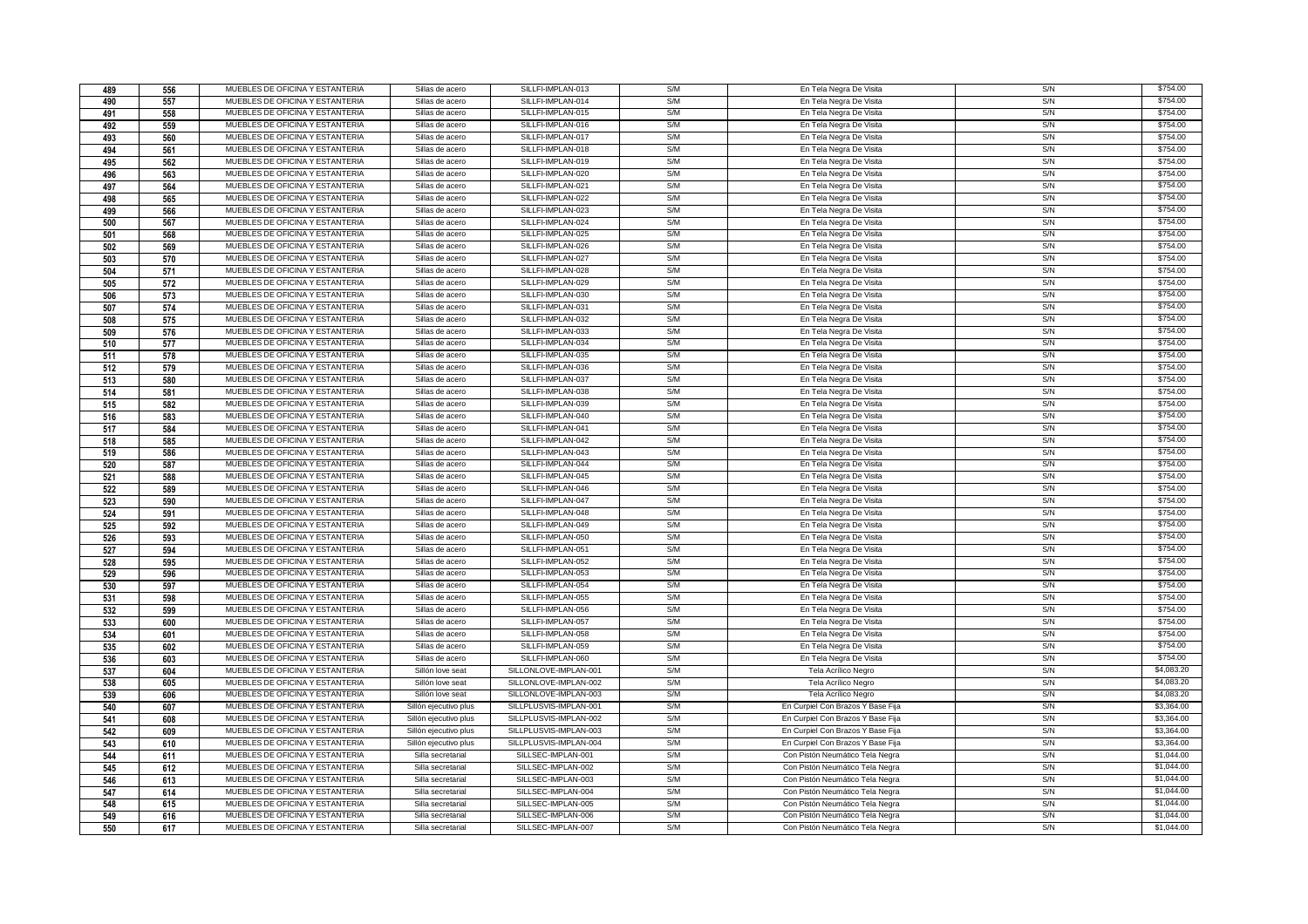| 489 | 556 | MUEBLES DE OFICINA Y ESTANTERIA | Sillas de acero       | SILLFI-IMPLAN-013      | S/M | En Tela Negra De Visita           | S/N | \$754.00   |
|-----|-----|---------------------------------|-----------------------|------------------------|-----|-----------------------------------|-----|------------|
| 490 | 557 | MUEBLES DE OFICINA Y ESTANTERIA | Sillas de acero       | SILLFI-IMPLAN-014      | S/M | En Tela Negra De Visita           | S/N | \$754.00   |
| 491 | 558 | MUEBLES DE OFICINA Y ESTANTERIA | Sillas de acero       | SILLFI-IMPLAN-015      | S/M | En Tela Negra De Visita           | S/N | \$754.00   |
| 492 | 559 | MUEBLES DE OFICINA Y ESTANTERIA | Sillas de acero       | SILLFI-IMPLAN-016      | S/M | En Tela Negra De Visita           | S/N | \$754.00   |
| 493 | 560 | MUEBLES DE OFICINA Y ESTANTERIA | Sillas de acero       | SILLFI-IMPLAN-017      | S/M | En Tela Negra De Visita           | S/N | \$754.00   |
| 494 | 561 | MUEBLES DE OFICINA Y ESTANTERIA | Sillas de acero       | SILLFI-IMPLAN-018      | S/M | En Tela Negra De Visita           | S/N | \$754.00   |
| 495 | 562 | MUEBLES DE OFICINA Y ESTANTERIA | Sillas de acero       | SILLFI-IMPLAN-019      | S/M | En Tela Negra De Visita           | S/N | \$754.00   |
| 496 | 563 | MUEBLES DE OFICINA Y ESTANTERIA | Sillas de acero       | SILLFI-IMPLAN-020      | S/M | En Tela Negra De Visita           | S/N | \$754.00   |
| 497 | 564 | MUEBLES DE OFICINA Y ESTANTERIA | Sillas de acero       | SILLFI-IMPLAN-021      | S/M | En Tela Negra De Visita           | S/N | \$754.00   |
| 498 | 565 | MUEBLES DE OFICINA Y ESTANTERIA | Sillas de acero       | SILLFI-IMPLAN-022      | S/M | En Tela Negra De Visita           | S/N | \$754.00   |
| 499 | 566 | MUEBLES DE OFICINA Y ESTANTERIA | Sillas de acero       | SILLFI-IMPLAN-023      | S/M | En Tela Negra De Visita           | S/N | \$754.00   |
| 500 | 567 | MUEBLES DE OFICINA Y ESTANTERIA | Sillas de acero       | SILLFI-IMPLAN-024      | S/M | En Tela Negra De Visita           | S/N | \$754.00   |
| 501 | 568 | MUEBLES DE OFICINA Y ESTANTERIA | Sillas de acero       | SILLFI-IMPLAN-025      | S/M | En Tela Negra De Visita           | S/N | \$754.00   |
| 502 | 569 | MUEBLES DE OFICINA Y ESTANTERIA | Sillas de acero       | SILLFI-IMPLAN-026      | S/M | En Tela Negra De Visita           | S/N | \$754.00   |
| 503 | 570 | MUEBLES DE OFICINA Y ESTANTERIA | Sillas de acero       | SILLFI-IMPLAN-027      | S/M | En Tela Negra De Visita           | S/N | \$754.00   |
| 504 | 571 | MUEBLES DE OFICINA Y ESTANTERIA | Sillas de acero       | SILLFI-IMPLAN-028      | S/M | En Tela Negra De Visita           | S/N | \$754.00   |
| 505 | 572 | MUEBLES DE OFICINA Y ESTANTERIA | Sillas de acero       | SILLFI-IMPLAN-029      | S/M | En Tela Negra De Visita           | S/N | \$754.00   |
| 506 | 573 | MUEBLES DE OFICINA Y ESTANTERIA | Sillas de acero       | SILLFI-IMPLAN-030      | S/M | En Tela Negra De Visita           | S/N | \$754.00   |
| 507 | 574 | MUEBLES DE OFICINA Y ESTANTERIA | Sillas de acero       | SILLFI-IMPLAN-031      | S/M | En Tela Negra De Visita           | S/N | \$754.00   |
| 508 | 575 | MUEBLES DE OFICINA Y ESTANTERIA | Sillas de acero       | SILLFI-IMPLAN-032      | S/M | En Tela Negra De Visita           | S/N | \$754.00   |
| 509 | 576 | MUEBLES DE OFICINA Y ESTANTERIA | Sillas de acero       | SILLFI-IMPLAN-033      | S/M | En Tela Negra De Visita           | S/N | \$754.00   |
| 510 | 577 | MUEBLES DE OFICINA Y ESTANTERIA | Sillas de acero       | SILLFI-IMPLAN-034      | S/M | En Tela Negra De Visita           | S/N | \$754.00   |
| 511 | 578 | MUEBLES DE OFICINA Y ESTANTERIA | Sillas de acero       | SILLFI-IMPLAN-035      | S/M | En Tela Negra De Visita           | S/N | \$754.00   |
| 512 | 579 | MUEBLES DE OFICINA Y ESTANTERIA | Sillas de acero       | SILLFI-IMPLAN-036      | S/M | En Tela Negra De Visita           | S/N | \$754.00   |
| 513 | 580 | MUEBLES DE OFICINA Y ESTANTERIA | Sillas de acero       | SILLFI-IMPLAN-037      | S/M | En Tela Negra De Visita           | S/N | \$754.00   |
| 514 | 581 | MUEBLES DE OFICINA Y ESTANTERIA | Sillas de acero       | SILLFI-IMPLAN-038      | S/M | En Tela Negra De Visita           | S/N | \$754.00   |
| 515 | 582 | MUEBLES DE OFICINA Y ESTANTERIA | Sillas de acero       | SILLFI-IMPLAN-039      | S/M | En Tela Negra De Visita           | S/N | \$754.00   |
| 516 | 583 | MUEBLES DE OFICINA Y ESTANTERIA | Sillas de acero       | SILLFI-IMPLAN-040      | S/M | En Tela Negra De Visita           | S/N | \$754.00   |
| 517 | 584 | MUEBLES DE OFICINA Y ESTANTERIA | Sillas de acero       | SILLFI-IMPLAN-041      | S/M | En Tela Negra De Visita           | S/N | \$754.00   |
| 518 | 585 | MUEBLES DE OFICINA Y ESTANTERIA | Sillas de acero       | SILLFI-IMPLAN-042      | S/M | En Tela Negra De Visita           | S/N | \$754.00   |
| 519 | 586 | MUEBLES DE OFICINA Y ESTANTERIA | Sillas de acero       | SILLFI-IMPLAN-043      | S/M | En Tela Negra De Visita           | S/N | \$754.00   |
| 520 | 587 | MUEBLES DE OFICINA Y ESTANTERIA | Sillas de acero       | SILLFI-IMPLAN-044      | S/M | En Tela Negra De Visita           | S/N | \$754.00   |
| 521 | 588 | MUEBLES DE OFICINA Y ESTANTERIA | Sillas de acero       | SILLFI-IMPLAN-045      | S/M | En Tela Negra De Visita           | S/N | \$754.00   |
| 522 | 589 | MUEBLES DE OFICINA Y ESTANTERIA | Sillas de acero       | SILLFI-IMPLAN-046      | S/M | En Tela Negra De Visita           | S/N | \$754.00   |
| 523 | 590 | MUEBLES DE OFICINA Y ESTANTERIA | Sillas de acero       | SILLFI-IMPLAN-047      | S/M | En Tela Negra De Visita           | S/N | \$754.00   |
| 524 | 591 | MUEBLES DE OFICINA Y ESTANTERIA | Sillas de acero       | SILLFI-IMPLAN-048      | S/M | En Tela Negra De Visita           | S/N | \$754.00   |
| 525 | 592 | MUEBLES DE OFICINA Y ESTANTERIA | Sillas de acero       | SILLFI-IMPLAN-049      | S/M | En Tela Negra De Visita           | S/N | \$754.00   |
| 526 | 593 | MUEBLES DE OFICINA Y ESTANTERIA | Sillas de acero       | SILLFI-IMPLAN-050      | S/M | En Tela Negra De Visita           | S/N | \$754.00   |
| 527 | 594 | MUEBLES DE OFICINA Y ESTANTERIA | Sillas de acero       | SILLFI-IMPLAN-051      | S/M | En Tela Negra De Visita           | S/N | \$754.00   |
| 528 | 595 | MUEBLES DE OFICINA Y ESTANTERIA | Sillas de acero       | SILLFI-IMPLAN-052      | S/M | En Tela Negra De Visita           | S/N | \$754.00   |
| 529 | 596 | MUEBLES DE OFICINA Y ESTANTERIA | Sillas de acero       | SILLFI-IMPLAN-053      | S/M | En Tela Negra De Visita           | S/N | \$754.00   |
| 530 | 597 | MUEBLES DE OFICINA Y ESTANTERIA | Sillas de acero       | SILLFI-IMPLAN-054      | S/M | En Tela Negra De Visita           | S/N | \$754.00   |
| 531 | 598 | MUEBLES DE OFICINA Y ESTANTERIA | Sillas de acero       | SILLFI-IMPLAN-055      | S/M | En Tela Negra De Visita           | S/N | \$754.00   |
| 532 | 599 | MUEBLES DE OFICINA Y ESTANTERIA | Sillas de acero       | SILLFI-IMPLAN-056      | S/M | En Tela Negra De Visita           | S/N | \$754.00   |
| 533 | 600 | MUEBLES DE OFICINA Y ESTANTERIA | Sillas de acero       | SILLFI-IMPLAN-057      | S/M | En Tela Negra De Visita           | S/N | \$754.00   |
| 534 | 601 | MUEBLES DE OFICINA Y ESTANTERIA | Sillas de acero       | SILLFI-IMPLAN-058      | S/M | En Tela Negra De Visita           | S/N | \$754.00   |
| 535 | 602 | MUEBLES DE OFICINA Y ESTANTERIA | Sillas de acero       | SILLFI-IMPLAN-059      | S/M | En Tela Negra De Visita           | S/N | \$754.00   |
| 536 | 603 | MUEBLES DE OFICINA Y ESTANTERIA | Sillas de acero       | SILLFI-IMPLAN-060      | S/M | En Tela Negra De Visita           | S/N | \$754.00   |
| 537 | 604 | MUEBLES DE OFICINA Y ESTANTERIA | Sillón love seat      | SILLONLOVE-IMPLAN-001  | S/M | Tela Acrílico Negro               | S/N | \$4,083.20 |
| 538 | 605 | MUEBLES DE OFICINA Y ESTANTERIA | Sillón love seat      | SILLONLOVE-IMPLAN-002  | S/M | Tela Acrílico Negro               | S/N | \$4,083.20 |
| 539 | 606 | MUEBLES DE OFICINA Y ESTANTERIA | Sillón love seat      | SILLONLOVE-IMPLAN-003  | S/M | Tela Acrílico Negro               | S/N | \$4,083.20 |
| 540 | 607 | MUEBLES DE OFICINA Y ESTANTERIA | Sillón ejecutivo plus | SILLPLUSVIS-IMPLAN-001 | S/M | En Curpiel Con Brazos Y Base Fija | S/N | \$3,364.00 |
| 541 | 608 | MUEBLES DE OFICINA Y ESTANTERIA | Sillón ejecutivo plus | SILLPLUSVIS-IMPLAN-002 | S/M | En Curpiel Con Brazos Y Base Fija | S/N | \$3,364.00 |
| 542 | 609 | MUEBLES DE OFICINA Y ESTANTERIA | Sillón ejecutivo plus | SILLPLUSVIS-IMPLAN-003 | S/M | En Curpiel Con Brazos Y Base Fija | S/N | \$3,364.00 |
| 543 | 610 | MUEBLES DE OFICINA Y ESTANTERIA | Sillón ejecutivo plus | SILLPLUSVIS-IMPLAN-004 | S/M | En Curpiel Con Brazos Y Base Fija | S/N | \$3,364.00 |
| 544 | 611 | MUEBLES DE OFICINA Y ESTANTERIA | Silla secretarial     | SILLSEC-IMPLAN-001     | S/M | Con Pistón Neumático Tela Negra   | S/N | \$1,044.00 |
| 545 | 612 | MUEBLES DE OFICINA Y ESTANTERIA | Silla secretarial     | SILLSEC-IMPLAN-002     | S/M | Con Pistón Neumático Tela Negra   | S/N | \$1,044.00 |
| 546 | 613 | MUEBLES DE OFICINA Y ESTANTERIA | Silla secretarial     | SILLSEC-IMPLAN-003     | S/M | Con Pistón Neumático Tela Negra   | S/N | \$1,044.00 |
| 547 | 614 | MUEBLES DE OFICINA Y ESTANTERIA | Silla secretarial     | SILLSEC-IMPLAN-004     | S/M | Con Pistón Neumático Tela Negra   | S/N | \$1,044.00 |
| 548 | 615 | MUEBLES DE OFICINA Y ESTANTERIA | Silla secretarial     | SILLSEC-IMPLAN-005     | S/M | Con Pistón Neumático Tela Negra   | S/N | \$1,044.00 |
| 549 | 616 | MUEBLES DE OFICINA Y ESTANTERIA | Silla secretarial     | SILLSEC-IMPLAN-006     | S/M | Con Pistón Neumático Tela Negra   | S/N | \$1,044.00 |
| 550 | 617 | MUEBLES DE OFICINA Y ESTANTERIA | Silla secretarial     | SILLSEC-IMPLAN-007     | S/M | Con Pistón Neumático Tela Negra   | S/N | \$1,044.00 |
|     |     |                                 |                       |                        |     |                                   |     |            |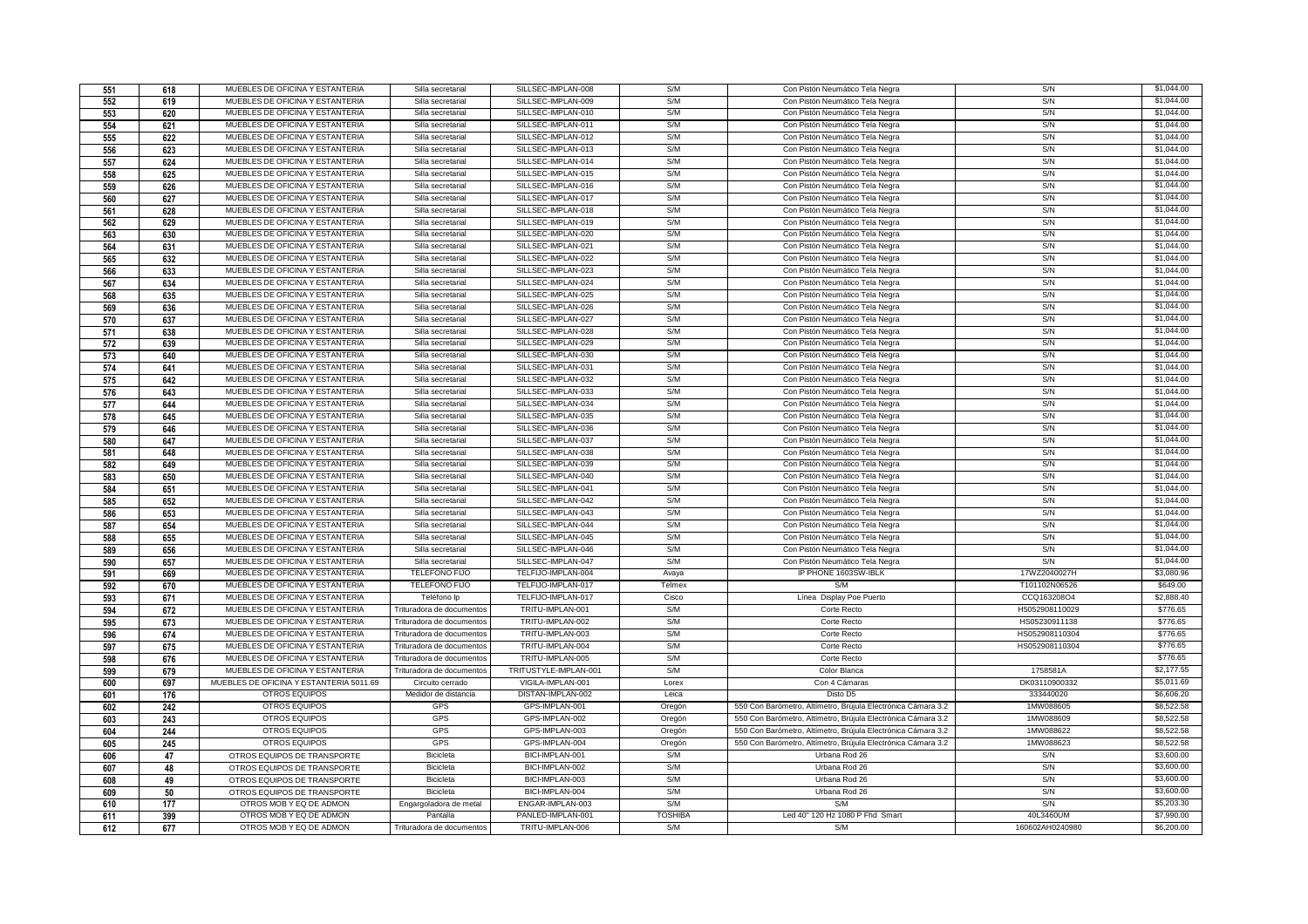| 551 | 618 | MUEBLES DE OFICINA Y ESTANTERIA                                    | Silla secretarial                | SILLSEC-IMPLAN-008                       | S/M            | Con Pistón Neumático Tela Negra                              | S/N             | \$1,044.00               |
|-----|-----|--------------------------------------------------------------------|----------------------------------|------------------------------------------|----------------|--------------------------------------------------------------|-----------------|--------------------------|
| 552 | 619 | MUEBLES DE OFICINA Y ESTANTERIA                                    | Silla secretarial                | SILLSEC-IMPLAN-009                       | S/M            | Con Pistón Neumático Tela Negra                              | S/N             | \$1,044.00               |
| 553 | 620 | MUEBLES DE OFICINA Y ESTANTERIA                                    | Silla secretarial                | SILLSEC-IMPLAN-010                       | S/M            | Con Pistón Neumático Tela Negra                              | S/N             | \$1,044.00               |
| 554 | 621 | MUEBLES DE OFICINA Y ESTANTERIA                                    | Silla secretarial                | SILLSEC-IMPLAN-011                       | S/M            | Con Pistón Neumático Tela Negra                              | S/N             | \$1,044.00               |
| 555 | 622 | MUEBLES DE OFICINA Y ESTANTERIA                                    | Silla secretarial                | SILLSEC-IMPLAN-012                       | S/M            | Con Pistón Neumático Tela Negra                              | S/N             | \$1,044.00               |
| 556 | 623 | MUEBLES DE OFICINA Y ESTANTERIA                                    | Silla secretarial                | SILLSEC-IMPLAN-013                       | S/M            | Con Pistón Neumático Tela Negra                              | S/N             | \$1,044.00               |
| 557 | 624 | MUEBLES DE OFICINA Y ESTANTERIA                                    | Silla secretarial                | SILLSEC-IMPLAN-014                       | S/M            | Con Pistón Neumático Tela Negra                              | S/N             | \$1,044.00               |
| 558 | 625 | MUEBLES DE OFICINA Y ESTANTERIA                                    | Silla secretarial                | SILLSEC-IMPLAN-015                       | S/M            | Con Pistón Neumático Tela Negra                              | S/N             | \$1,044.00               |
| 559 | 626 | MUEBLES DE OFICINA Y ESTANTERIA                                    | Silla secretaria                 | SILLSEC-IMPLAN-016                       | S/M            | Con Pistón Neumático Tela Negra                              | S/N             | \$1,044.00               |
| 560 | 627 | MUEBLES DE OFICINA Y ESTANTERIA                                    | Silla secretarial                | SILLSEC-IMPLAN-017                       | S/M            | Con Pistón Neumático Tela Negra                              | S/N             | \$1,044.00               |
| 561 | 628 | MUEBLES DE OFICINA Y ESTANTERIA                                    | Silla secretarial                | SILLSEC-IMPLAN-018                       | S/M            | Con Pistón Neumático Tela Negra                              | S/N             | \$1,044.00               |
| 562 | 629 | MUEBLES DE OFICINA Y ESTANTERIA                                    | Silla secretarial                | SILLSEC-IMPLAN-019                       | S/M            | Con Pistón Neumático Tela Negra                              | S/N             | \$1,044.00               |
|     |     | MUEBLES DE OFICINA Y ESTANTERIA                                    | Silla secretarial                | SILLSEC-IMPLAN-020                       | S/M            | Con Pistón Neumático Tela Negra                              | S/N             | \$1,044.00               |
| 563 | 630 | MUEBLES DE OFICINA Y ESTANTERIA                                    | Silla secretaria                 | SILLSEC-IMPLAN-021                       | S/M            |                                                              | S/N             | \$1,044.00               |
| 564 | 631 | MUEBLES DE OFICINA Y ESTANTERIA                                    |                                  | SILLSEC-IMPLAN-022                       | S/M            | Con Pistón Neumático Tela Negra                              | S/N             | \$1,044.00               |
| 565 | 632 |                                                                    | Silla secretarial                |                                          |                | Con Pistón Neumático Tela Negra                              |                 |                          |
| 566 | 633 | MUEBLES DE OFICINA Y ESTANTERIA<br>MUEBLES DE OFICINA Y ESTANTERIA | Silla secretarial                | SILLSEC-IMPLAN-023<br>SILLSEC-IMPLAN-024 | S/M<br>S/M     | Con Pistón Neumático Tela Negra                              | S/N<br>S/N      | \$1,044.00<br>\$1,044.00 |
| 567 | 634 |                                                                    | Silla secretarial                |                                          |                | Con Pistón Neumático Tela Negra                              |                 |                          |
| 568 | 635 | MUEBLES DE OFICINA Y ESTANTERIA                                    | Silla secretaria                 | SILLSEC-IMPLAN-025                       | S/M            | Con Pistón Neumático Tela Negra                              | S/N             | \$1,044.00               |
| 569 | 636 | MUEBLES DE OFICINA Y ESTANTERIA                                    | Silla secretarial                | SILLSEC-IMPLAN-026                       | S/M            | Con Pistón Neumático Tela Negra                              | S/N             | \$1,044.00               |
| 570 | 637 | MUEBLES DE OFICINA Y ESTANTERIA                                    | Silla secretarial                | SILLSEC-IMPLAN-027                       | S/M            | Con Pistón Neumático Tela Negra                              | S/N             | \$1,044.00               |
| 571 | 638 | MUEBLES DE OFICINA Y ESTANTERIA                                    | Silla secretarial                | SILLSEC-IMPLAN-028                       | S/M            | Con Pistón Neumático Tela Negra                              | S/N             | \$1,044.00               |
| 572 | 639 | MUEBLES DE OFICINA Y ESTANTERIA                                    | Silla secretarial                | SILLSEC-IMPLAN-029                       | S/M            | Con Pistón Neumático Tela Negra                              | S/N             | \$1,044.00               |
| 573 | 640 | MUEBLES DE OFICINA Y ESTANTERIA                                    | Silla secretarial                | SILLSEC-IMPLAN-030                       | S/M            | Con Pistón Neumático Tela Negra                              | S/N             | \$1,044.00               |
| 574 | 641 | MUEBLES DE OFICINA Y ESTANTERIA                                    | Silla secretarial                | SILLSEC-IMPLAN-031                       | S/M            | Con Pistón Neumático Tela Negra                              | S/N             | \$1,044.00               |
| 575 | 642 | MUEBLES DE OFICINA Y ESTANTERIA                                    | Silla secretarial                | SILLSEC-IMPLAN-032                       | S/M            | Con Pistón Neumático Tela Negra                              | S/N             | \$1,044.00               |
| 576 | 643 | MUEBLES DE OFICINA Y ESTANTERIA                                    | Silla secretarial                | SILLSEC-IMPLAN-033                       | S/M            | Con Pistón Neumático Tela Negra                              | S/N             | \$1,044.00               |
| 577 | 644 | MUEBLES DE OFICINA Y ESTANTERIA                                    | Silla secretarial                | SILLSEC-IMPLAN-034                       | S/M            | Con Pistón Neumático Tela Negra                              | S/N             | \$1,044.00               |
| 578 | 645 | MUEBLES DE OFICINA Y ESTANTERIA                                    | Silla secretarial                | SILLSEC-IMPLAN-035                       | S/M            | Con Pistón Neumático Tela Negra                              | S/N             | \$1,044.00               |
| 579 | 646 | MUEBLES DE OFICINA Y ESTANTERIA                                    | Silla secretaria                 | SILLSEC-IMPLAN-036                       | S/M            | Con Pistón Neumático Tela Negra                              | S/N             | \$1,044.00               |
| 580 | 647 | MUEBLES DE OFICINA Y ESTANTERIA                                    | Silla secretarial                | SILLSEC-IMPLAN-037                       | S/M            | Con Pistón Neumático Tela Negra                              | S/N             | \$1,044.00               |
| 581 | 648 | MUEBLES DE OFICINA Y ESTANTERIA                                    | Silla secretarial                | SILLSEC-IMPLAN-038                       | S/M            | Con Pistón Neumático Tela Negra                              | S/N             | \$1,044.00               |
| 582 | 649 | MUEBLES DE OFICINA Y ESTANTERIA                                    | Silla secretarial                | SILLSEC-IMPLAN-039                       | S/M            | Con Pistón Neumático Tela Negra                              | S/N             | \$1,044.00               |
| 583 | 650 | MUEBLES DE OFICINA Y ESTANTERIA                                    | Silla secretaria                 | SILLSEC-IMPLAN-040                       | S/M            | Con Pistón Neumático Tela Negra                              | S/N             | \$1,044.00               |
| 584 | 651 | MUEBLES DE OFICINA Y ESTANTERIA                                    | Silla secretaria                 | SILLSEC-IMPLAN-041                       | S/M            | Con Pistón Neumático Tela Negra                              | S/N             | \$1,044.00               |
| 585 | 652 | MUEBLES DE OFICINA Y ESTANTERIA                                    | Silla secretarial                | SILLSEC-IMPLAN-042                       | S/M            | Con Pistón Neumático Tela Negra                              | S/N             | \$1,044.00               |
| 586 | 653 | MUEBLES DE OFICINA Y ESTANTERIA                                    | Silla secretarial                | SILLSEC-IMPLAN-043                       | S/M            | Con Pistón Neumático Tela Negra                              | S/N             | \$1,044.00               |
| 587 | 654 | MUEBLES DE OFICINA Y ESTANTERIA                                    | Silla secretarial                | SILLSEC-IMPLAN-044                       | S/M            | Con Pistón Neumático Tela Negra                              | S/N             | \$1,044.00               |
| 588 | 655 | MUEBLES DE OFICINA Y ESTANTERIA                                    | Silla secretaria                 | SILLSEC-IMPLAN-045                       | S/M            | Con Pistón Neumático Tela Negra                              | S/N             | \$1,044.00               |
| 589 | 656 | MUEBLES DE OFICINA Y ESTANTERIA                                    | Silla secretarial                | SILLSEC-IMPLAN-046                       | S/M            | Con Pistón Neumático Tela Negra                              | S/N             | \$1,044.00               |
| 590 | 657 | MUEBLES DE OFICINA Y ESTANTERIA                                    | Silla secretarial                | SILLSEC-IMPLAN-047                       | S/M            | Con Pistón Neumático Tela Negra                              | S/N             | \$1,044.00               |
| 591 | 669 | MUEBLES DE OFICINA Y ESTANTERIA                                    | <b>TELEFONO FIJO</b>             | TELFIJO-IMPLAN-004                       | Avaya          | IP PHONE 1603SW-IBLK                                         | 17WZ2040027H    | \$3,080.96               |
| 592 | 670 | MUEBLES DE OFICINA Y ESTANTERIA                                    | <b>TELEFONO FIJO</b>             | TELFIJO-IMPLAN-017                       | Telmex         | S/M                                                          | T101102N06526   | \$649.00                 |
| 593 | 671 | MUEBLES DE OFICINA Y ESTANTERIA                                    | Teléfono In                      | TELFIJO-IMPLAN-017                       | Cisco          | Línea Display Poe Puerto                                     | CCQ163208O4     | \$2,888.40               |
| 594 | 672 | MUEBLES DE OFICINA Y ESTANTERIA                                    | Trituradora de documentos        | TRITU-IMPLAN-001                         | S/M            | Corte Recto                                                  | H5052908110029  | \$776.65                 |
| 595 | 673 | MUEBLES DE OFICINA Y ESTANTERIA                                    | Trituradora de documentos        | TRITU-IMPLAN-002                         | S/M            | Corte Recto                                                  | HS05230911138   | \$776.65                 |
| 596 | 674 | MUEBLES DE OFICINA Y ESTANTERIA                                    | Trituradora de documentos        | TRITU-IMPLAN-003                         | S/M            | Corte Recto                                                  | HS052908110304  | \$776.65                 |
| 597 | 675 | MUEBLES DE OFICINA Y ESTANTERIA                                    | <b>Trituradora de documentos</b> | TRITU-IMPLAN-004                         | S/M            | Corte Recto                                                  | HS052908110304  | \$776.65                 |
| 598 | 676 | MUEBLES DE OFICINA Y ESTANTERIA                                    | Trituradora de documento         | TRITU-IMPLAN-005                         | S/M            | Corte Recto                                                  |                 | \$776.65                 |
| 599 | 679 | MUEBLES DE OFICINA Y ESTANTERIA                                    | Trituradora de documentos        | TRITUSTYLE-IMPLAN-001                    | S/M            | Color Blanca                                                 | 1758581A        | \$2,177.55               |
| 600 | 697 | MUEBLES DE OFICINA Y ESTANTERIA 5011.69                            | Circuito cerrado                 | VIGILA-IMPLAN-001                        | Lorex          | Con 4 Cámaras                                                | DK03110900332   | \$5,011.69               |
| 601 | 176 | OTROS EQUIPOS                                                      | Medidor de distancia             | DISTAN-IMPLAN-002                        | Leica          | Disto D5                                                     | 333440020       | \$6,606.20               |
| 602 | 242 | <b>OTROS EQUIPOS</b>                                               | GPS                              | GPS-IMPLAN-001                           | Oregón         | 550 Con Barómetro, Altímetro, Brújula Electrónica Cámara 3.2 | 1MW088605       | \$8,522.58               |
| 603 | 243 | OTROS EQUIPOS                                                      | GPS                              | GPS-IMPLAN-002                           | Oregón         | 550 Con Barómetro, Altímetro, Brújula Electrónica Cámara 3.2 | 1MW088609       | \$8,522.58               |
| 604 | 244 | <b>OTROS EQUIPOS</b>                                               | GPS                              | GPS-IMPLAN-003                           | Oregón         | 550 Con Barómetro, Altímetro, Brújula Electrónica Cámara 3.2 | 1MW088622       | \$8,522.58               |
| 605 | 245 | OTROS EQUIPOS                                                      | GPS                              | GPS-IMPLAN-004                           | Oregón         | 550 Con Barómetro, Altímetro, Brújula Electrónica Cámara 3.2 | 1MW088623       | \$8,522.58               |
| 606 | 47  | OTROS EQUIPOS DE TRANSPORTE                                        | <b>Bicicleta</b>                 | BICI-IMPLAN-001                          | S/M            | Urbana Rod 26                                                | S/N             | \$3,600.00               |
| 607 | 48  | OTROS EQUIPOS DE TRANSPORTE                                        | Bicicleta                        | BICI-IMPLAN-002                          | S/M            | Urbana Rod 26                                                | S/N             | \$3,600.00               |
| 608 | 49  | OTROS EQUIPOS DE TRANSPORTE                                        | <b>Bicicleta</b>                 | BICI-IMPLAN-003                          | S/M            | Urbana Rod 26                                                | S/N             | \$3,600.00               |
| 609 | 50  | OTROS EQUIPOS DE TRANSPORTE                                        | Bicicleta                        | BICI-IMPLAN-004                          | S/M            | Urbana Rod 26                                                | S/N             | \$3,600.00               |
| 610 | 177 | OTROS MOB Y EQ DE ADMON                                            | Engargoladora de metal           | ENGAR-IMPLAN-003                         | S/M            | S/M                                                          | S/N             | \$5,203.30               |
| 611 | 399 | OTROS MOB Y EQ DE ADMON                                            | Pantalla                         | PANLED-IMPLAN-001                        | <b>TOSHIBA</b> | Led 40" 120 Hz 1080 P Fhd Smart                              | 40L3460UM       | \$7,990.00               |
| 612 | 677 | OTROS MOB Y EQ DE ADMON                                            | Trituradora de documentos        | TRITU-IMPLAN-006                         | S/M            | S/M                                                          | 160602AH0240980 | \$6,200.00               |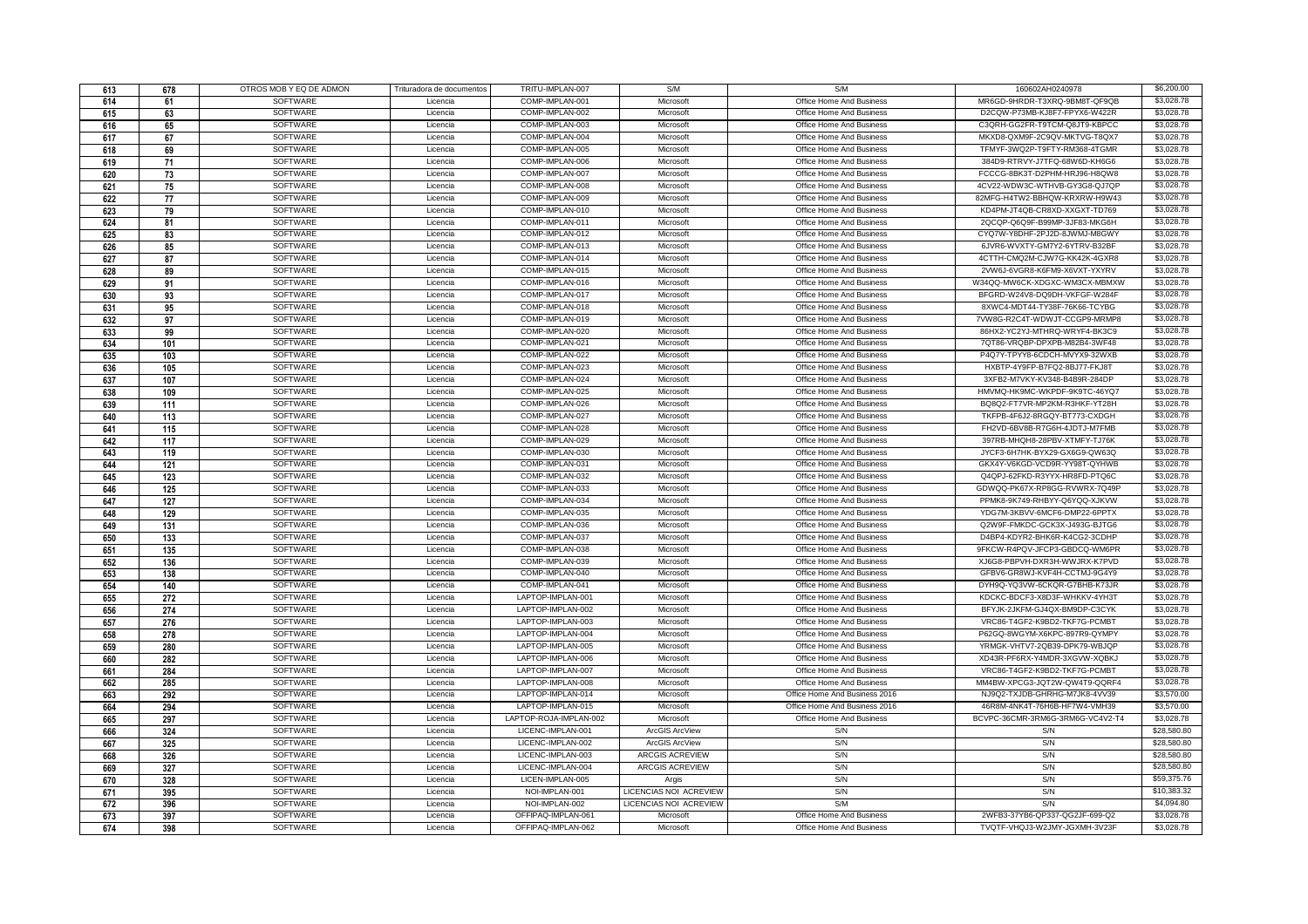| 613 | 678 | OTROS MOB Y EQ DE ADMON | Trituradora de documentos | TRITU-IMPLAN-007       | S/M                    | S/M                           | 160602AH0240978                  | \$6,200,00  |
|-----|-----|-------------------------|---------------------------|------------------------|------------------------|-------------------------------|----------------------------------|-------------|
| 614 | 61  | <b>SOFTWARE</b>         | Licencia                  | COMP-IMPLAN-001        | Microsoft              | Office Home And Business      | MR6GD-9HRDR-T3XRQ-9BM8T-QF9QB    | \$3,028,78  |
| 615 | 63  | <b>SOFTWARE</b>         | Licencia                  | COMP-IMPLAN-002        | Microsoft              | Office Home And Business      | D2CQW-P73MB-KJ8F7-FPYX6-W422R    | \$3,028.78  |
| 616 | 65  | <b>SOFTWARE</b>         | Licencia                  | COMP-IMPLAN-003        | Microsoft              | Office Home And Business      | C3QRH-GG2FR-T9TCM-Q8JT9-KBPCC    | \$3,028.78  |
| 617 | 67  | SOFTWARE                | Licencia                  | COMP-IMPLAN-004        | Microsoft              | Office Home And Business      | MKXD8-QXM9F-2C9QV-MKTVG-T8QX7    | \$3,028.78  |
| 618 | 69  | SOFTWARE                | Licencia                  | COMP-IMPLAN-005        | Microsoft              | Office Home And Business      | TFMYF-3WQ2P-T9FTY-RM368-4TGMR    | \$3,028.78  |
| 619 | 71  | <b>SOFTWARE</b>         | Licencia                  | COMP-IMPLAN-006        | Microsoft              | Office Home And Business      | 384D9-RTRVY-J7TFQ-68W6D-KH6G6    | \$3,028.78  |
| 620 | 73  | <b>SOFTWARE</b>         | Licencia                  | COMP-IMPLAN-007        | Microsoft              | Office Home And Business      | FCCCG-8BK3T-D2PHM-HRJ96-H8QW8    | \$3,028.78  |
| 621 | 75  | <b>SOFTWARE</b>         | Licencia                  | COMP-IMPLAN-008        | Microsoft              | Office Home And Business      | 4CV22-WDW3C-WTHVB-GY3G8-QJ7QP    | \$3,028.78  |
| 622 | 77  | SOFTWARE                | Licencia                  | COMP-IMPLAN-009        | Microsoft              | Office Home And Business      | 82MFG-H4TW2-BBHQW-KRXRW-H9W43    | \$3,028.78  |
| 623 | 79  | SOFTWARE                | Licencia                  | COMP-IMPLAN-010        | Microsoft              | Office Home And Business      | KD4PM-JT4QB-CR8XD-XXGXT-TD769    | \$3,028.78  |
| 624 | 81  | SOFTWARE                | Licencia                  | COMP-IMPLAN-011        | Microsoft              | Office Home And Business      | 2QCQP-Q6Q9F-B99MP-3JF83-MKG6H    | \$3,028.78  |
| 625 | 83  | <b>SOFTWARE</b>         | Licencia                  | COMP-IMPLAN-012        | Microsoft              | Office Home And Business      | CYQ7W-Y8DHF-2PJ2D-8JWMJ-M8GWY    | \$3,028.78  |
| 626 | 85  | <b>SOFTWARE</b>         | Licencia                  | COMP-IMPLAN-013        | Microsoft              | Office Home And Business      | 6JVR6-WVXTY-GM7Y2-6YTRV-B32BF    | \$3,028.78  |
| 627 | 87  | SOFTWARE                | Licencia                  | COMP-IMPLAN-014        | Microsoft              | Office Home And Business      | 4CTTH-CMQ2M-CJW7G-KK42K-4GXR8    | \$3,028.78  |
| 628 | 89  | SOFTWARE                | Licencia                  | COMP-IMPLAN-015        | Microsoft              | Office Home And Business      | 2VW6J-6VGR8-K6FM9-X6VXT-YXYRV    | \$3,028.78  |
| 629 | 91  | SOFTWARE                | Licencia                  | COMP-IMPLAN-016        | Microsoft              | Office Home And Business      | W34QQ-MW6CK-XDGXC-WM3CX-MBMXW    | \$3,028.78  |
| 630 | 93  | <b>SOFTWARE</b>         | Licencia                  | COMP-IMPLAN-017        | Microsoft              | Office Home And Business      | BFGRD-W24V8-DQ9DH-VKFGF-W284F    | \$3,028.78  |
| 631 | 95  | <b>SOFTWARE</b>         | Licencia                  | COMP-IMPLAN-018        | Microsoft              | Office Home And Business      | 8XWC4-MDT44-TY38F-76K66-TCYBG    | \$3,028.78  |
| 632 | 97  | SOFTWARE                | Licencia                  | COMP-IMPLAN-019        | Microsoft              | Office Home And Business      | 7VW8G-R2C4T-WDWJT-CCGP9-MRMP8    | \$3,028.78  |
| 633 | 99  | SOFTWARE                | Licencia                  | COMP-IMPLAN-020        | Microsoft              | Office Home And Business      | 86HX2-YC2YJ-MTHRQ-WRYF4-BK3C9    | \$3,028.78  |
| 634 | 101 | SOFTWARE                | Licencia                  | COMP-IMPLAN-021        | Microsoft              | Office Home And Business      | 7QT86-VRQBP-DPXPB-M82B4-3WF48    | \$3,028.78  |
| 635 | 103 | SOFTWARE                | Licencia                  | COMP-IMPLAN-022        | Microsoft              | Office Home And Business      | P4Q7Y-TPYY8-6CDCH-MVYX9-32WXB    | \$3,028.78  |
| 636 | 105 | <b>SOFTWARE</b>         | Licencia                  | COMP-IMPLAN-023        | Microsoft              | Office Home And Business      | HXBTP-4Y9FP-B7FQ2-8BJ77-FKJ8T    | \$3,028.78  |
| 637 | 107 | SOFTWARE                | Licencia                  | COMP-IMPLAN-024        | Microsoft              | Office Home And Business      | 3XFB2-M7VKY-KV348-B4B9R-284DP    | \$3,028.78  |
| 638 | 109 | SOFTWARE                | Licencia                  | COMP-IMPLAN-025        | Microsoft              | Office Home And Business      | HMVMQ-HK9MC-WKPDF-9K9TC-46YQ7    | \$3,028.78  |
|     |     | SOFTWARE                | Licencia                  | COMP-IMPLAN-026        | Microsoft              | Office Home And Business      | BQ8Q2-FT7VR-MP2KM-R3HKF-YT28H    | \$3,028.78  |
| 639 | 111 | SOFTWARE                | Licencia                  | COMP-IMPLAN-027        | Microsoft              | Office Home And Business      | TKFPB-4F6J2-8RGQY-BT773-CXDGH    | \$3,028.78  |
| 640 | 113 | <b>SOFTWARE</b>         |                           |                        |                        |                               |                                  | \$3,028.78  |
| 641 | 115 |                         | Licencia                  | COMP-IMPLAN-028        | Microsoft              | Office Home And Business      | FH2VD-6BV8B-R7G6H-4JDTJ-M7FMB    | \$3,028.78  |
| 642 | 117 | <b>SOFTWARE</b>         | Licencia                  | COMP-IMPLAN-029        | Microsoft              | Office Home And Business      | 397RB-MHQH8-28PBV-XTMFY-TJ76K    |             |
| 643 | 119 | SOFTWARE                | Licencia                  | COMP-IMPLAN-030        | Microsoft              | Office Home And Business      | JYCF3-6H7HK-BYX29-GX6G9-QW63Q    | \$3,028.78  |
| 644 | 121 | SOFTWARE                | Licencia                  | COMP-IMPLAN-031        | Microsoft              | Office Home And Business      | GKX4Y-V6KGD-VCD9R-YY98T-QYHWB    | \$3,028.78  |
| 645 | 123 | SOFTWARE                | Licencia                  | COMP-IMPLAN-032        | Microsoft              | Office Home And Business      | Q4QPJ-62FKD-R3YYX-HR8FD-PTQ6C    | \$3,028.78  |
| 646 | 125 | SOFTWARE                | Licencia                  | COMP-IMPLAN-033        | Microsoft              | Office Home And Business      | GDWQQ-PK67X-RP8GG-RVWRX-7Q49P    | \$3,028.78  |
| 647 | 127 | <b>SOFTWARE</b>         | Licencia                  | COMP-IMPLAN-034        | Microsoft              | Office Home And Business      | PPMK8-9K749-RHBYY-Q6YQQ-XJKVW    | \$3,028.78  |
| 648 | 129 | SOFTWARE                | Licencia                  | COMP-IMPLAN-035        | Microsoft              | Office Home And Business      | YDG7M-3KBVV-6MCF6-DMP22-6PPTX    | \$3,028.78  |
| 649 | 131 | <b>SOFTWARE</b>         | Licencia                  | COMP-IMPLAN-036        | Microsoft              | Office Home And Business      | Q2W9F-FMKDC-GCK3X-J493G-BJTG6    | \$3,028,78  |
| 650 | 133 | SOFTWARE                | Licencia                  | COMP-IMPLAN-037        | Microsoft              | Office Home And Business      | D4BP4-KDYR2-BHK6R-K4CG2-3CDHP    | \$3,028.78  |
| 651 | 135 | <b>SOFTWARE</b>         | Licencia                  | COMP-IMPLAN-038        | Microsoft              | Office Home And Business      | 9FKCW-R4PQV-JFCP3-GBDCQ-WM6PR    | \$3,028.78  |
| 652 | 136 | <b>SOFTWARE</b>         | Licencia                  | COMP-IMPLAN-039        | Microsoft              | Office Home And Business      | XJ6G8-PBPVH-DXR3H-WWJRX-K7PVD    | \$3,028.78  |
| 653 | 138 | SOFTWARE                | Licencia                  | COMP-IMPLAN-040        | Microsoft              | Office Home And Business      | GFBV6-GR8WJ-KVF4H-CCTMJ-9G4Y9    | \$3,028.78  |
| 654 | 140 | <b>SOFTWARE</b>         | Licencia                  | COMP-IMPLAN-041        | Microsoft              | Office Home And Business      | DYH9Q-YQ3VW-6CKQR-G7BHB-K73JR    | \$3,028.78  |
| 655 | 272 | SOFTWARE                | Licencia                  | LAPTOP-IMPLAN-001      | Microsoft              | Office Home And Business      | KDCKC-BDCF3-X8D3F-WHKKV-4YH3T    | \$3,028.78  |
| 656 | 274 | <b>SOFTWARE</b>         | Licencia                  | LAPTOP-IMPLAN-002      | Microsoft              | Office Home And Business      | BFYJK-2JKFM-GJ4QX-BM9DP-C3CYK    | \$3,028.78  |
| 657 | 276 | SOFTWARE                | Licencia                  | LAPTOP-IMPLAN-003      | Microsoft              | Office Home And Business      | VRC86-T4GF2-K9BD2-TKF7G-PCMBT    | \$3,028.78  |
| 658 | 278 | <b>SOFTWARE</b>         | Licencia                  | LAPTOP-IMPLAN-004      | Microsoft              | Office Home And Business      | P62GQ-8WGYM-X6KPC-897R9-QYMPY    | \$3,028.78  |
| 659 | 280 | SOFTWARE                | Licencia                  | LAPTOP-IMPLAN-005      | Microsoft              | Office Home And Business      | YRMGK-VHTV7-2QB39-DPK79-WBJQP    | \$3,028.78  |
| 660 | 282 | <b>SOFTWARE</b>         | Licencia                  | LAPTOP-IMPLAN-006      | Microsoft              | Office Home And Business      | XD43R-PF6RX-Y4MDR-3XGVW-XQBKJ    | \$3,028.78  |
| 661 | 284 | SOFTWARE                | Licencia                  | LAPTOP-IMPLAN-007      | Microsoft              | Office Home And Business      | VRC86-T4GF2-K9BD2-TKF7G-PCMBT    | \$3,028.78  |
| 662 | 285 | SOFTWARE                | Licencia                  | LAPTOP-IMPLAN-008      | Microsoft              | Office Home And Business      | MM4BW-XPCG3-JQT2W-QW4T9-QQRF4    | \$3,028.78  |
| 663 | 292 | SOFTWARE                | Licencia                  | LAPTOP-IMPLAN-014      | Microsoft              | Office Home And Business 2016 | NJ9Q2-TXJDB-GHRHG-M7JK8-4VV39    | \$3,570.00  |
| 664 | 294 | <b>SOFTWARE</b>         | Licencia                  | LAPTOP-IMPLAN-015      | Microsoft              | Office Home And Business 2016 | 46R8M-4NK4T-76H6B-HF7W4-VMH39    | \$3,570.00  |
| 665 | 297 | SOFTWARE                | Licencia                  | LAPTOP-ROJA-IMPLAN-002 | Microsoft              | Office Home And Business      | BCVPC-36CMR-3RM6G-3RM6G-VC4V2-T4 | \$3,028.78  |
| 666 | 324 | SOFTWARE                | Licencia                  | LICENC-IMPLAN-001      | ArcGIS ArcView         | S/N                           | S/N                              | \$28,580.80 |
| 667 | 325 | SOFTWARE                | Licencia                  | LICENC-IMPLAN-002      | ArcGIS ArcView         | S/N                           | S/N                              | \$28,580.80 |
| 668 | 326 | SOFTWARE                | Licencia                  | LICENC-IMPLAN-003      | ARCGIS ACREVIEW        | S/N                           | S/N                              | \$28,580.80 |
| 669 | 327 | SOFTWARE                | Licencia                  | LICENC-IMPLAN-004      | ARCGIS ACREVIEW        | S/N                           | S/N                              | \$28,580,80 |
| 670 | 328 | SOFTWARE                | Licencia                  | LICEN-IMPLAN-005       | Argis                  | S/N                           | S/N                              | \$59,375.76 |
| 671 | 395 | <b>SOFTWARE</b>         | Licencia                  | NOI-IMPLAN-001         | LICENCIAS NOI ACREVIEW | S/N                           | S/N                              | \$10,383.32 |
| 672 | 396 | SOFTWARE                | Licencia                  | NOI-IMPLAN-002         | LICENCIAS NOI ACREVIEW | S/M                           | S/N                              | \$4,094.80  |
| 673 | 397 | SOFTWARE                | Licencia                  | OFFIPAQ-IMPLAN-061     | Microsoft              | Office Home And Business      | 2WFB3-37YB6-QP337-QG2JF-699-Q2   | \$3,028.78  |
| 674 | 398 | SOFTWARE                | Licencia                  | OFFIPAQ-IMPLAN-062     | Microsoft              | Office Home And Business      | TVQTF-VHQJ3-W2JMY-JGXMH-3V23F    | \$3,028.78  |